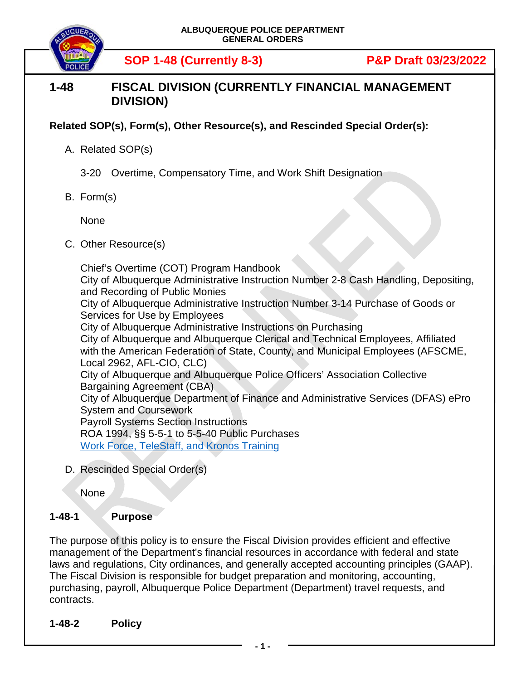

**SOP 1-48 (Currently 8-3) P&P Draft 03/23/2022**

## **1-48 FISCAL DIVISION (CURRENTLY FINANCIAL MANAGEMENT DIVISION)**

## **Related SOP(s), Form(s), Other Resource(s), and Rescinded Special Order(s):**

- A. Related SOP(s)
	- 3-20 Overtime, Compensatory Time, and Work Shift Designation
- B. Form(s)

None

C. Other Resource(s)

Chief's Overtime (COT) Program Handbook City of Albuquerque Administrative Instruction Number 2-8 Cash Handling, Depositing, and Recording of Public Monies City of Albuquerque Administrative Instruction Number 3-14 Purchase of Goods or Services for Use by Employees City of Albuquerque Administrative Instructions on Purchasing City of Albuquerque and Albuquerque Clerical and Technical Employees, Affiliated with the American Federation of State, County, and Municipal Employees (AFSCME, Local 2962, AFL-CIO, CLC) City of Albuquerque and Albuquerque Police Officers' Association Collective Bargaining Agreement (CBA) City of Albuquerque Department of Finance and Administrative Services (DFAS) ePro System and Coursework Payroll Systems Section Instructions ROA 1994, §§ 5-5-1 to 5-5-40 Public Purchases Work Force, TeleStaff, [and Kronos Training](https://sharepoint.cabq.gov/dfas/isd/projects/Kronos/KRONOS/TS_Training/Kronos%20WFTS%206.8.5%20Training%20for%20Officers.pdf)

D. Rescinded Special Order(s)

**None** 

## **1-48-1 Purpose**

The purpose of this policy is to ensure the Fiscal Division provides efficient and effective management of the Department's financial resources in accordance with federal and state laws and regulations, City ordinances, and generally accepted accounting principles (GAAP). The Fiscal Division is responsible for budget preparation and monitoring, accounting, purchasing, payroll, Albuquerque Police Department (Department) travel requests, and contracts.

**1-48-2 Policy**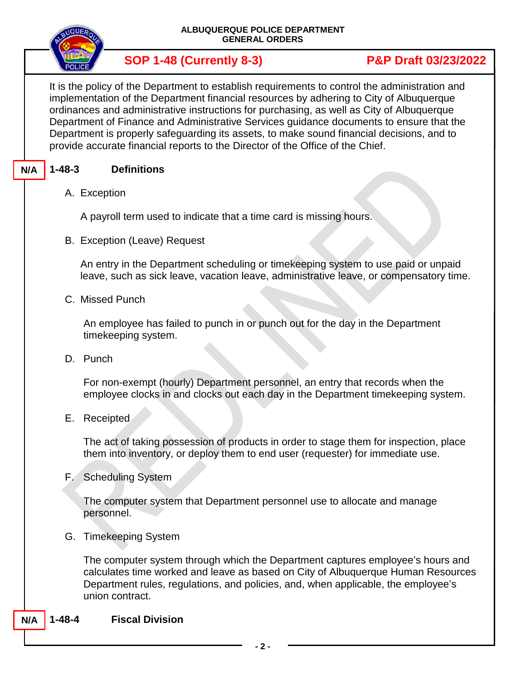| OUEROW        |  |
|---------------|--|
| <b>POLICE</b> |  |

It is the policy of the Department to establish requirements to control the administration and implementation of the Department financial resources by adhering to City of Albuquerque ordinances and administrative instructions for purchasing, as well as City of Albuquerque Department of Finance and Administrative Services guidance documents to ensure that the Department is properly safeguarding its assets, to make sound financial decisions, and to provide accurate financial reports to the Director of the Office of the Chief.

### **1-48-3 Definitions N/A**

# A. Exception

A payroll term used to indicate that a time card is missing hours.

B. Exception (Leave) Request

An entry in the Department scheduling or timekeeping system to use paid or unpaid leave, such as sick leave, vacation leave, administrative leave, or compensatory time.

C. Missed Punch

An employee has failed to punch in or punch out for the day in the Department timekeeping system.

D. Punch

For non-exempt (hourly) Department personnel, an entry that records when the employee clocks in and clocks out each day in the Department timekeeping system.

E. Receipted

The act of taking possession of products in order to stage them for inspection, place them into inventory, or deploy them to end user (requester) for immediate use.

F. Scheduling System

The computer system that Department personnel use to allocate and manage personnel.

G. Timekeeping System

The computer system through which the Department captures employee's hours and calculates time worked and leave as based on City of Albuquerque Human Resources Department rules, regulations, and policies, and, when applicable, the employee's union contract.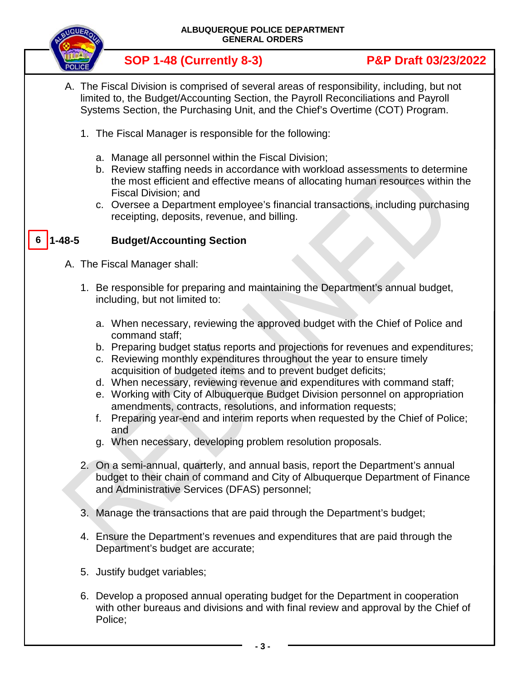

- A. The Fiscal Division is comprised of several areas of responsibility, including, but not limited to, the Budget/Accounting Section, the Payroll Reconciliations and Payroll Systems Section, the Purchasing Unit, and the Chief's Overtime (COT) Program.
	- 1. The Fiscal Manager is responsible for the following:
		- a. Manage all personnel within the Fiscal Division;
		- b. Review staffing needs in accordance with workload assessments to determine the most efficient and effective means of allocating human resources within the Fiscal Division; and
		- c. Oversee a Department employee's financial transactions, including purchasing receipting, deposits, revenue, and billing.

### **Budget/Accounting Section 6**

- A. The Fiscal Manager shall:
	- 1. Be responsible for preparing and maintaining the Department's annual budget, including, but not limited to:
		- a. When necessary, reviewing the approved budget with the Chief of Police and command staff;
		- b. Preparing budget status reports and projections for revenues and expenditures;
		- c. Reviewing monthly expenditures throughout the year to ensure timely acquisition of budgeted items and to prevent budget deficits;
		- d. When necessary, reviewing revenue and expenditures with command staff;
		- e. Working with City of Albuquerque Budget Division personnel on appropriation amendments, contracts, resolutions, and information requests;
		- f. Preparing year-end and interim reports when requested by the Chief of Police; and
		- g. When necessary, developing problem resolution proposals.
	- 2. On a semi-annual, quarterly, and annual basis, report the Department's annual budget to their chain of command and City of Albuquerque Department of Finance and Administrative Services (DFAS) personnel;
	- 3. Manage the transactions that are paid through the Department's budget;
	- 4. Ensure the Department's revenues and expenditures that are paid through the Department's budget are accurate;
	- 5. Justify budget variables;
	- 6. Develop a proposed annual operating budget for the Department in cooperation with other bureaus and divisions and with final review and approval by the Chief of Police;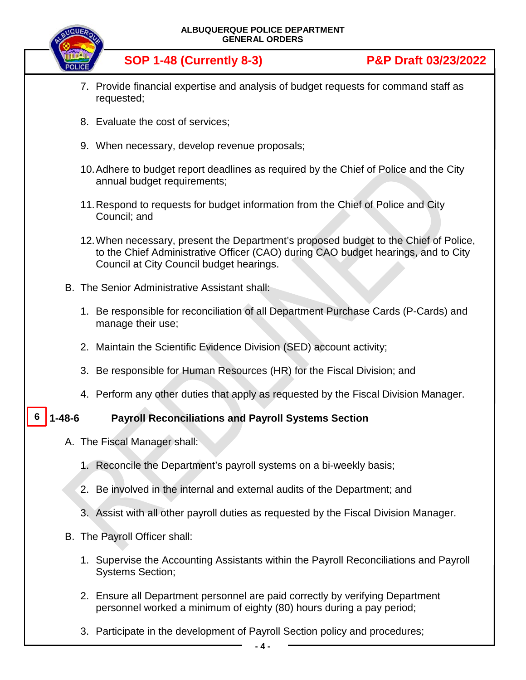|              | ALBUQUERQUE POLICE DEPARTMENT<br><b>GENERAL ORDERS</b>                                                                                                                                                                |                                 |
|--------------|-----------------------------------------------------------------------------------------------------------------------------------------------------------------------------------------------------------------------|---------------------------------|
|              | <b>SOP 1-48 (Currently 8-3)</b>                                                                                                                                                                                       | <b>P&amp;P Draft 03/23/2022</b> |
|              | 7. Provide financial expertise and analysis of budget requests for command staff as<br>requested;                                                                                                                     |                                 |
|              | 8. Evaluate the cost of services;                                                                                                                                                                                     |                                 |
|              | 9. When necessary, develop revenue proposals;                                                                                                                                                                         |                                 |
|              | 10. Adhere to budget report deadlines as required by the Chief of Police and the City<br>annual budget requirements;                                                                                                  |                                 |
|              | 11. Respond to requests for budget information from the Chief of Police and City<br>Council; and                                                                                                                      |                                 |
|              | 12. When necessary, present the Department's proposed budget to the Chief of Police,<br>to the Chief Administrative Officer (CAO) during CAO budget hearings, and to City<br>Council at City Council budget hearings. |                                 |
|              | B. The Senior Administrative Assistant shall:                                                                                                                                                                         |                                 |
|              | 1. Be responsible for reconciliation of all Department Purchase Cards (P-Cards) and<br>manage their use;                                                                                                              |                                 |
|              | 2. Maintain the Scientific Evidence Division (SED) account activity;                                                                                                                                                  |                                 |
|              | 3. Be responsible for Human Resources (HR) for the Fiscal Division; and                                                                                                                                               |                                 |
|              | 4. Perform any other duties that apply as requested by the Fiscal Division Manager.                                                                                                                                   |                                 |
| $1 - 48 - 6$ | <b>Payroll Reconciliations and Payroll Systems Section</b>                                                                                                                                                            |                                 |
|              | A. The Fiscal Manager shall:                                                                                                                                                                                          |                                 |
|              | 1. Reconcile the Department's payroll systems on a bi-weekly basis;                                                                                                                                                   |                                 |
|              | 2. Be involved in the internal and external audits of the Department; and                                                                                                                                             |                                 |
|              | 3. Assist with all other payroll duties as requested by the Fiscal Division Manager.                                                                                                                                  |                                 |
|              | B. The Payroll Officer shall:                                                                                                                                                                                         |                                 |
|              | 1. Supervise the Accounting Assistants within the Payroll Reconciliations and Payroll<br><b>Systems Section;</b>                                                                                                      |                                 |
|              | 2. Ensure all Department personnel are paid correctly by verifying Department<br>personnel worked a minimum of eighty (80) hours during a pay period;                                                                 |                                 |
|              |                                                                                                                                                                                                                       |                                 |

3. Participate in the development of Payroll Section policy and procedures;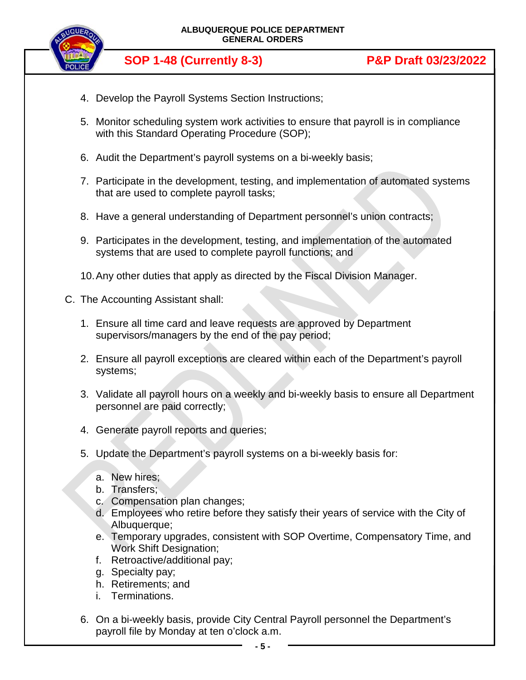

- 4. Develop the Payroll Systems Section Instructions;
- 5. Monitor scheduling system work activities to ensure that payroll is in compliance with this Standard Operating Procedure (SOP);
- 6. Audit the Department's payroll systems on a bi-weekly basis;
- 7. Participate in the development, testing, and implementation of automated systems that are used to complete payroll tasks;
- 8. Have a general understanding of Department personnel's union contracts;
- 9. Participates in the development, testing, and implementation of the automated systems that are used to complete payroll functions; and
- 10.Any other duties that apply as directed by the Fiscal Division Manager.
- C. The Accounting Assistant shall:
	- 1. Ensure all time card and leave requests are approved by Department supervisors/managers by the end of the pay period;
	- 2. Ensure all payroll exceptions are cleared within each of the Department's payroll systems;
	- 3. Validate all payroll hours on a weekly and bi-weekly basis to ensure all Department personnel are paid correctly;
	- 4. Generate payroll reports and queries;
	- 5. Update the Department's payroll systems on a bi-weekly basis for:
		- a. New hires;
		- b. Transfers;
		- c. Compensation plan changes;
		- d. Employees who retire before they satisfy their years of service with the City of Albuquerque;
		- e. Temporary upgrades, consistent with SOP Overtime, Compensatory Time, and Work Shift Designation;
		- f. Retroactive/additional pay;
		- g. Specialty pay;
		- h. Retirements; and
		- i. Terminations.
	- 6. On a bi-weekly basis, provide City Central Payroll personnel the Department's payroll file by Monday at ten o'clock a.m.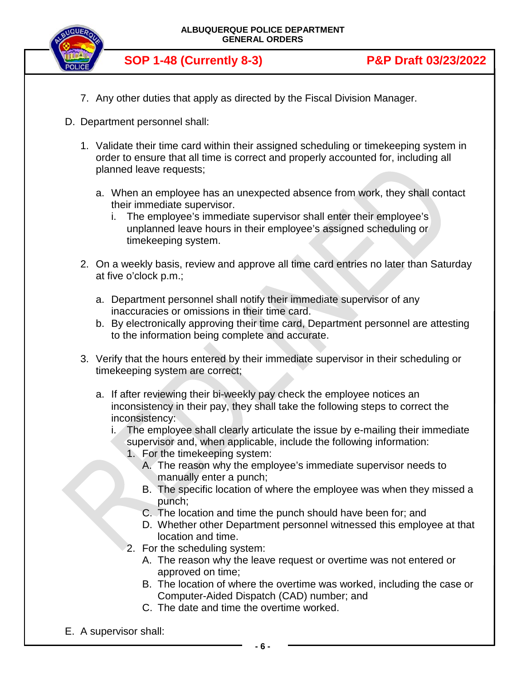

- 7. Any other duties that apply as directed by the Fiscal Division Manager.
- D. Department personnel shall:
	- 1. Validate their time card within their assigned scheduling or timekeeping system in order to ensure that all time is correct and properly accounted for, including all planned leave requests;
		- a. When an employee has an unexpected absence from work, they shall contact their immediate supervisor.
			- i. The employee's immediate supervisor shall enter their employee's unplanned leave hours in their employee's assigned scheduling or timekeeping system.
	- 2. On a weekly basis, review and approve all time card entries no later than Saturday at five o'clock p.m.;
		- a. Department personnel shall notify their immediate supervisor of any inaccuracies or omissions in their time card.
		- b. By electronically approving their time card, Department personnel are attesting to the information being complete and accurate.
	- 3. Verify that the hours entered by their immediate supervisor in their scheduling or timekeeping system are correct;
		- a. If after reviewing their bi-weekly pay check the employee notices an inconsistency in their pay, they shall take the following steps to correct the inconsistency:
			- i. The employee shall clearly articulate the issue by e-mailing their immediate supervisor and, when applicable, include the following information:
				- 1. For the timekeeping system:
					- A. The reason why the employee's immediate supervisor needs to manually enter a punch;
					- B. The specific location of where the employee was when they missed a punch;
					- C. The location and time the punch should have been for; and
					- D. Whether other Department personnel witnessed this employee at that location and time.
				- 2. For the scheduling system:
					- A. The reason why the leave request or overtime was not entered or approved on time;
					- B. The location of where the overtime was worked, including the case or Computer-Aided Dispatch (CAD) number; and
					- C. The date and time the overtime worked.
- E. A supervisor shall: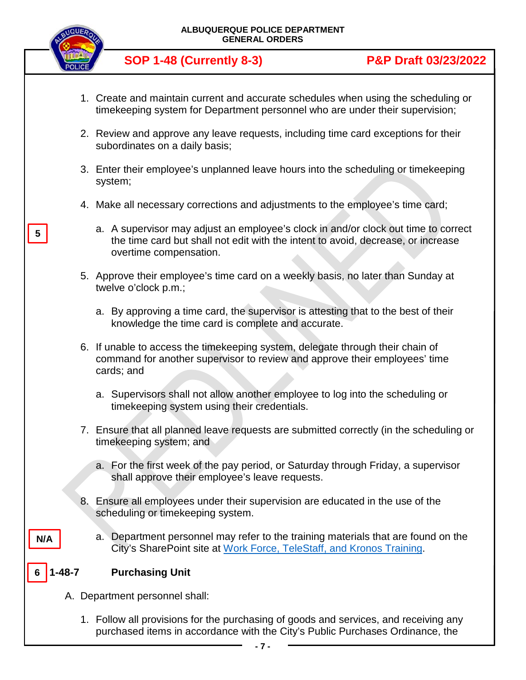

**5**

**N/A**

- 1. Create and maintain current and accurate schedules when using the scheduling or timekeeping system for Department personnel who are under their supervision;
- 2. Review and approve any leave requests, including time card exceptions for their subordinates on a daily basis;
- 3. Enter their employee's unplanned leave hours into the scheduling or timekeeping system;
- 4. Make all necessary corrections and adjustments to the employee's time card;
	- a. A supervisor may adjust an employee's clock in and/or clock out time to correct the time card but shall not edit with the intent to avoid, decrease, or increase overtime compensation.
- 5. Approve their employee's time card on a weekly basis, no later than Sunday at twelve o'clock p.m.;
	- a. By approving a time card, the supervisor is attesting that to the best of their knowledge the time card is complete and accurate.
- 6. If unable to access the timekeeping system, delegate through their chain of command for another supervisor to review and approve their employees' time cards; and
	- a. Supervisors shall not allow another employee to log into the scheduling or timekeeping system using their credentials.
- 7. Ensure that all planned leave requests are submitted correctly (in the scheduling or timekeeping system; and
	- a. For the first week of the pay period, or Saturday through Friday, a supervisor shall approve their employee's leave requests.
- 8. Ensure all employees under their supervision are educated in the use of the scheduling or timekeeping system.
	- a. Department personnel may refer to the training materials that are found on the City's SharePoint site at Work Force, TeleStaff, [and Kronos Training.](https://sharepoint.cabq.gov/dfas/isd/projects/Kronos/KRONOS/TS_Training/Kronos%20WFTS%206.8.5%20Training%20for%20Officers.pdf)

### **1-48-7 Purchasing Unit 6**

- A. Department personnel shall:
	- 1. Follow all provisions for the purchasing of goods and services, and receiving any purchased items in accordance with the City's Public Purchases Ordinance, the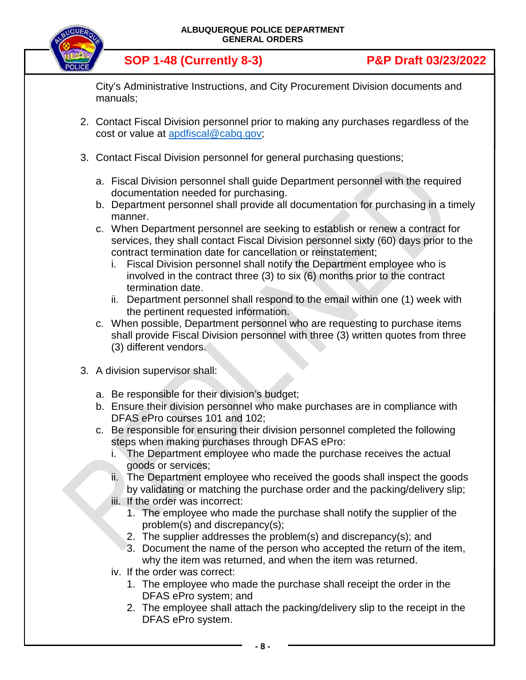

City's Administrative Instructions, and City Procurement Division documents and manuals;

- 2. Contact Fiscal Division personnel prior to making any purchases regardless of the cost or value at [apdfiscal@cabq.gov;](file://coa.cabq.lcl/dfsroot/APD/SHARE/PD-SOP/Draft%20SOPs/1.%20Being%20Edited/APDFISCAL@CABQ.GOV)
- 3. Contact Fiscal Division personnel for general purchasing questions;
	- a. Fiscal Division personnel shall guide Department personnel with the required documentation needed for purchasing.
	- b. Department personnel shall provide all documentation for purchasing in a timely manner.
	- c. When Department personnel are seeking to establish or renew a contract for services, they shall contact Fiscal Division personnel sixty (60) days prior to the contract termination date for cancellation or reinstatement;
		- i. Fiscal Division personnel shall notify the Department employee who is involved in the contract three (3) to six (6) months prior to the contract termination date.
		- ii. Department personnel shall respond to the email within one (1) week with the pertinent requested information.
	- c. When possible, Department personnel who are requesting to purchase items shall provide Fiscal Division personnel with three (3) written quotes from three (3) different vendors.
- 3. A division supervisor shall:
	- a. Be responsible for their division's budget;
	- b. Ensure their division personnel who make purchases are in compliance with DFAS ePro courses 101 and 102;
	- c. Be responsible for ensuring their division personnel completed the following steps when making purchases through DFAS ePro:
		- i. The Department employee who made the purchase receives the actual goods or services;
		- ii. The Department employee who received the goods shall inspect the goods by validating or matching the purchase order and the packing/delivery slip;
		- iii. If the order was incorrect:
			- 1. The employee who made the purchase shall notify the supplier of the problem(s) and discrepancy(s);
			- 2. The supplier addresses the problem(s) and discrepancy(s); and
			- 3. Document the name of the person who accepted the return of the item, why the item was returned, and when the item was returned.
		- iv. If the order was correct:
			- 1. The employee who made the purchase shall receipt the order in the DFAS ePro system; and
			- 2. The employee shall attach the packing/delivery slip to the receipt in the DFAS ePro system.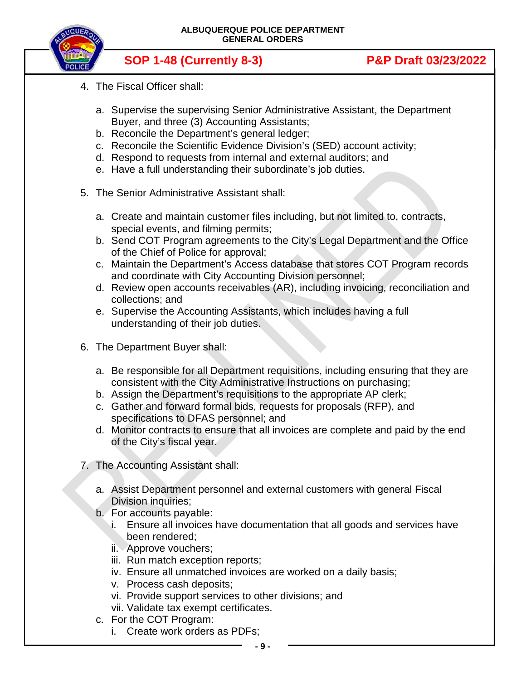

- 4. The Fiscal Officer shall:
	- a. Supervise the supervising Senior Administrative Assistant, the Department Buyer, and three (3) Accounting Assistants;
	- b. Reconcile the Department's general ledger;
	- c. Reconcile the Scientific Evidence Division's (SED) account activity;
	- d. Respond to requests from internal and external auditors; and
	- e. Have a full understanding their subordinate's job duties.
- 5. The Senior Administrative Assistant shall:
	- a. Create and maintain customer files including, but not limited to, contracts, special events, and filming permits;
	- b. Send COT Program agreements to the City's Legal Department and the Office of the Chief of Police for approval;
	- c. Maintain the Department's Access database that stores COT Program records and coordinate with City Accounting Division personnel;
	- d. Review open accounts receivables (AR), including invoicing, reconciliation and collections; and
	- e. Supervise the Accounting Assistants, which includes having a full understanding of their job duties.
- 6. The Department Buyer shall:
	- a. Be responsible for all Department requisitions, including ensuring that they are consistent with the City Administrative Instructions on purchasing;
	- b. Assign the Department's requisitions to the appropriate AP clerk;
	- c. Gather and forward formal bids, requests for proposals (RFP), and specifications to DFAS personnel; and
	- d. Monitor contracts to ensure that all invoices are complete and paid by the end of the City's fiscal year.
- 7. The Accounting Assistant shall:
	- a. Assist Department personnel and external customers with general Fiscal Division inquiries;
	- b. For accounts payable:
		- i. Ensure all invoices have documentation that all goods and services have been rendered;
		- ii. Approve vouchers;
		- iii. Run match exception reports;
		- iv. Ensure all unmatched invoices are worked on a daily basis;
		- v. Process cash deposits;
		- vi. Provide support services to other divisions; and
		- vii. Validate tax exempt certificates.
	- c. For the COT Program:
		- i. Create work orders as PDFs;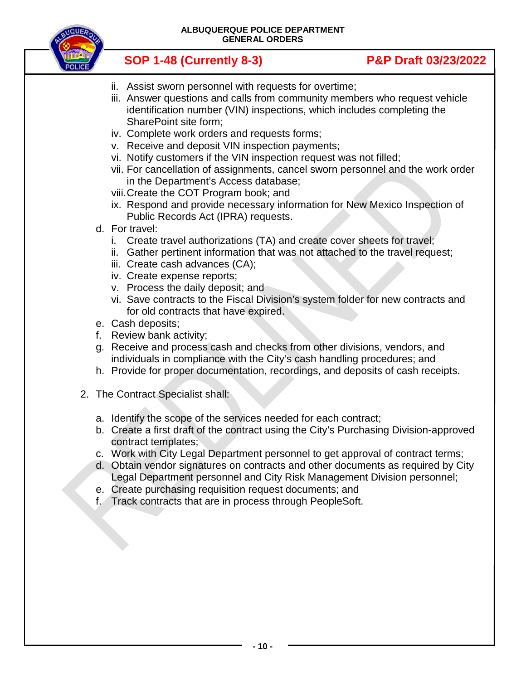

- ii. Assist sworn personnel with requests for overtime;
- iii. Answer questions and calls from community members who request vehicle identification number (VIN) inspections, which includes completing the SharePoint site form;
- iv. Complete work orders and requests forms;
- v. Receive and deposit VIN inspection payments;
- vi. Notify customers if the VIN inspection request was not filled;
- vii. For cancellation of assignments, cancel sworn personnel and the work order in the Department's Access database;
- viii.Create the COT Program book; and
- ix. Respond and provide necessary information for New Mexico Inspection of Public Records Act (IPRA) requests.
- d. For travel:
	- i. Create travel authorizations (TA) and create cover sheets for travel;
	- ii. Gather pertinent information that was not attached to the travel request;
	- iii. Create cash advances (CA);
	- iv. Create expense reports;
	- v. Process the daily deposit; and
	- vi. Save contracts to the Fiscal Division's system folder for new contracts and for old contracts that have expired.
- e. Cash deposits;
- f. Review bank activity;
- g. Receive and process cash and checks from other divisions, vendors, and individuals in compliance with the City's cash handling procedures; and
- h. Provide for proper documentation, recordings, and deposits of cash receipts.
- 2. The Contract Specialist shall:
	- a. Identify the scope of the services needed for each contract;
	- b. Create a first draft of the contract using the City's Purchasing Division-approved contract templates;
	- c. Work with City Legal Department personnel to get approval of contract terms;
	- d. Obtain vendor signatures on contracts and other documents as required by City Legal Department personnel and City Risk Management Division personnel;
	- e. Create purchasing requisition request documents; and
	- f. Track contracts that are in process through PeopleSoft.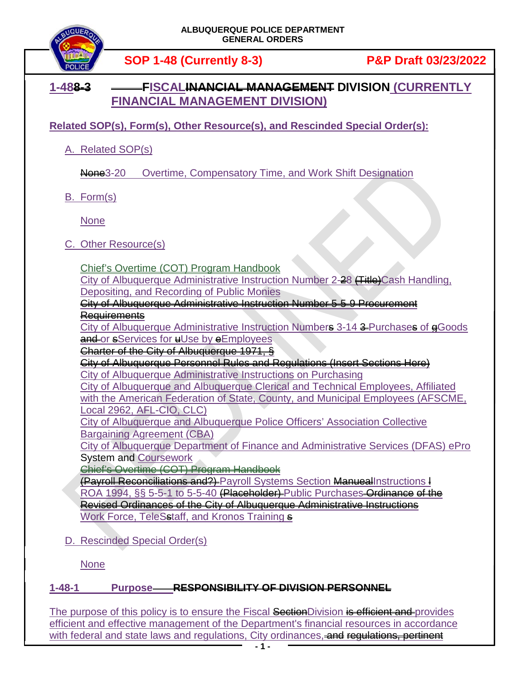

# **1-488-3 FISCALINANCIAL MANAGEMENT DIVISION (CURRENTLY FINANCIAL MANAGEMENT DIVISION)**

**Related SOP(s), Form(s), Other Resource(s), and Rescinded Special Order(s):**

A. Related SOP(s)

**None**3-20 Overtime, Compensatory Time, and Work Shift Designation

B. Form(s)

None

C. Other Resource(s)

Chief's Overtime (COT) Program Handbook

City of Albuquerque Administrative Instruction Number 2-28 <del>(Title)</del>Cash Handling, Depositing, and Recording of Public Monies

City of Albuquerque Administrative Instruction Number 5-5-9 Procurement

Requirements

City of Albuquerque Administrative Instruction Numbers 3-14 3 Purchases of eGoods and or sServices for uUse by eEmployees

Charter of the City of Albuquerque 1971, §

City of Albuquerque Personnel Rules and Regulations (Insert Sections Here) City of Albuquerque Administrative Instructions on Purchasing

City of Albuquerque and Albuquerque Clerical and Technical Employees, Affiliated with the American Federation of State, County, and Municipal Employees (AFSCME, Local 2962, AFL-CIO, CLC)

City of Albuquerque and Albuquerque Police Officers' Association Collective Bargaining Agreement (CBA)

City of Albuquerque Department of Finance and Administrative Services (DFAS) ePro System and Coursework

Chief's Overtime (COT) Program Handbook

(Payroll Reconciliations and?) Payroll Systems Section ManuealInstructions l ROA 1994, §§ 5-5-1 to 5-5-40 (Placeholder) Public Purchases Ordinance of the Revised Ordinances of the City of Albuquerque Administrative Instructions Work Force, TeleSstaff, [and Kronos Training](https://sharepoint.cabq.gov/dfas/isd/projects/Kronos/KRONOS/TS_Training/Kronos%20WFTS%206.8.5%20Training%20for%20Officers.pdf) s

D. Rescinded Special Order(s)

None

## **1-48-1 Purpose RESPONSIBILITY OF DIVISION PERSONNEL**

The purpose of this policy is to ensure the Fiscal SectionDivision is efficient and provides efficient and effective management of the Department's financial resources in accordance with federal and state laws and regulations, City ordinances, and regulations, pertinent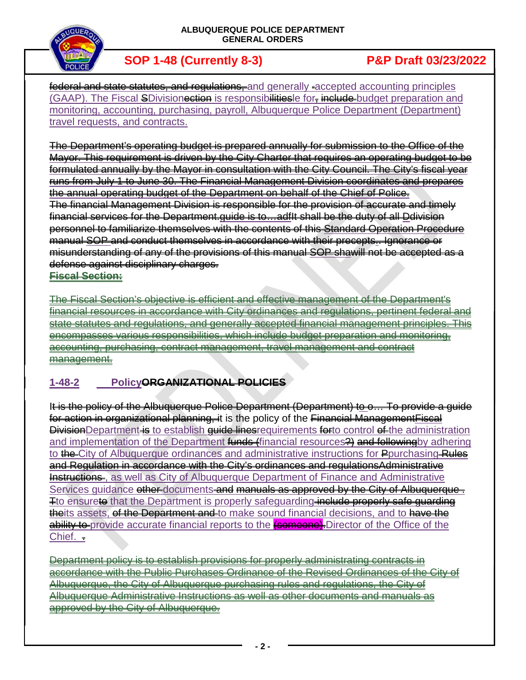

federal and state statutes, and regulations, and generally -accepted accounting principles (GAAP). The Fiscal SDivisionection is responsibilities for include budget preparation and monitoring, accounting, purchasing, payroll, Albuquerque Police Department (Department) travel requests, and contracts.

The Department's operating budget is prepared annually for submission to the Office of the Mayor. This requirement is driven by the City Charter that requires an operating budget to be formulated annually by the Mayor in consultation with the City Council. The City's fiscal year runs from July 1 to June 30. The Financial Management Division coordinates and prepares the annual operating budget of the Department on behalf of the Chief of Police. The financial Management Division is responsible for the provision of accurate and timely financial services for the Department.guide is to…adfIt shall be the duty of all Ddivision personnel to familiarize themselves with the contents of this Standard Operation Procedure manual SOP and conduct themselves in accordance with their precepts. Ignorance or misunderstanding of any of the provisions of this manual SOP shawill not be accepted as a defense against disciplinary charges. **Fiscal Section:**

The Fiscal Section's objective is efficient and effective management of the Department's financial resources in accordance with City ordinances and regulations, pertinent federal and state statutes and regulations, and generally accepted financial management principles. This encompasses various responsibilities, which include budget preparation and monitoring, accounting, purchasing, contract management, travel management and contract management.

## **1-48-2 PolicyORGANIZATIONAL POLICIES**

It is the policy of the Albuquerque Police Department (Department) to o… To provide a guide for action in organizational planning, it is the policy of the Financial Management Fiscal **Division**Department is to establish quide linesrequirements forto control of the administration and implementation of the Department funds (financial resources?) and following by adhering to the City of Albuquerque ordinances and administrative instructions for Pourchasing Rules and Regulation in accordance with the City's ordinances and regulationsAdministrative Instructions, as well as City of Albuquerque Department of Finance and Administrative Services quidance other documents and manuals as approved by the City of Albuquerque. Tto ensureto that the Department is properly safeguarding include properly safe quarding theits assets, of the Department and to make sound financial decisions, and to have the ability to provide accurate financial reports to the **(someone)**. Director of the Office of the Chief. .

Department policy is to establish provisions for properly administrating contracts in accordance with the Public Purchases Ordinance of the Revised Ordinances of the City of Albuquerque, the City of Albuquerque purchasing rules and regulations, the City of Albuquerque Administrative Instructions as well as other documents and manuals as approved by the City of Albuquerque.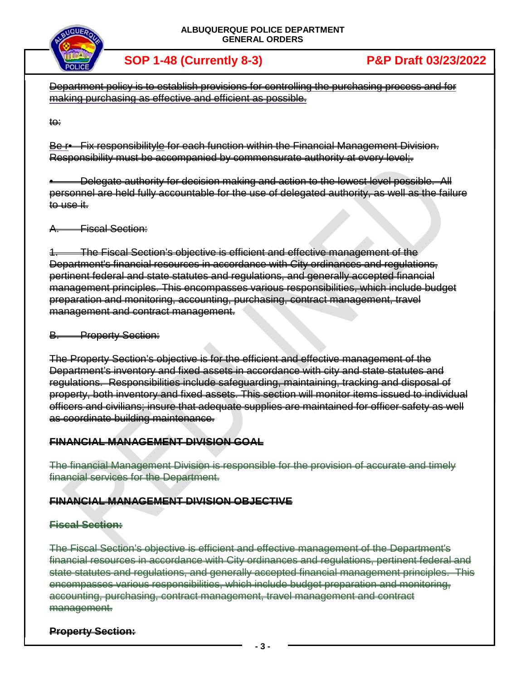

**SOP 1-48 (Currently 8-3) P&P Draft 03/23/2022**

Department policy is to establish provisions for controlling the purchasing process and for making purchasing as effective and efficient as possible.

to:

Be r• Fix responsibility le for each function within the Financial Management Division. Responsibility must be accompanied by commensurate authority at every level;.

• Delegate authority for decision making and action to the lowest level possible. All personnel are held fully accountable for the use of delegated authority, as well as the failure to use it.

A. Fiscal Section:

1. The Fiscal Section's objective is efficient and effective management of the Department's financial resources in accordance with City ordinances and regulations, pertinent federal and state statutes and regulations, and generally accepted financial management principles. This encompasses various responsibilities, which include budget preparation and monitoring, accounting, purchasing, contract management, travel management and contract management.

**B.** Property Section:

The Property Section's objective is for the efficient and effective management of the Department's inventory and fixed assets in accordance with city and state statutes and regulations. Responsibilities include safeguarding, maintaining, tracking and disposal of property, both inventory and fixed assets. This section will monitor items issued to individual officers and civilians; insure that adequate supplies are maintained for officer safety as well as coordinate building maintenance.

## **FINANCIAL MANAGEMENT DIVISION GOAL**

The financial Management Division is responsible for the provision of accurate and timely financial services for the Department.

## **FINANCIAL MANAGEMENT DIVISION OBJECTIVE**

## **Fiscal Section:**

The Fiscal Section's objective is efficient and effective management of the Department's financial resources in accordance with City ordinances and regulations, pertinent federal and state statutes and regulations, and generally accepted financial management principles. This encompasses various responsibilities, which include budget preparation and monitoring, accounting, purchasing, contract management, travel management and contract management.

## **Property Section:**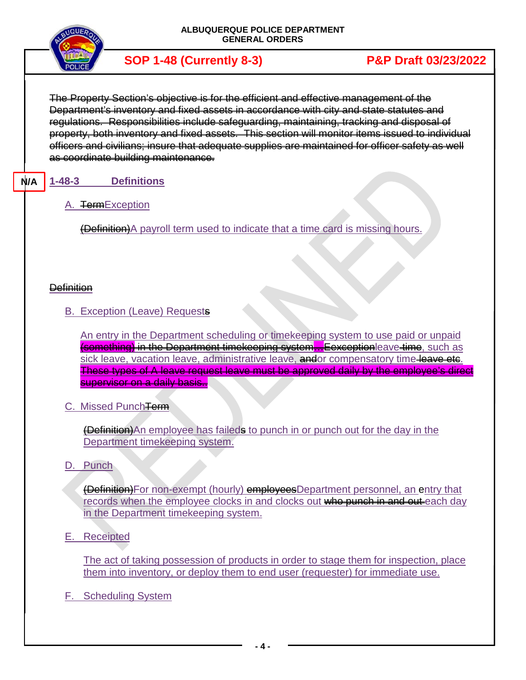

The Property Section's objective is for the efficient and effective management of the Department's inventory and fixed assets in accordance with city and state statutes and regulations. Responsibilities include safeguarding, maintaining, tracking and disposal of property, both inventory and fixed assets. This section will monitor items issued to individual officers and civilians; insure that adequate supplies are maintained for officer safety as well as coordinate building maintenance.

### **1-48-3 Definitions N/A**

A. TermException

(Definition)A payroll term used to indicate that a time card is missing hours.

## **Definition**

B. Exception (Leave) Requests

An entry in the Department scheduling or timekeeping system to use paid or unpaid **(something) in the Department timekeeping system...Eexception**leave time, such as sick leave, vacation leave, administrative leave, andor compensatory time leave etc. These types of A leave request leave must be approved daily by the employee's direct supervisor on a daily basis...

C. Missed PunchTerm

(Definition)An employee has faileds to punch in or punch out for the day in the Department timekeeping system.

D. Punch

(Definition)For non-exempt (hourly) employeesDepartment personnel, an entry that records when the employee clocks in and clocks out who punch in and out each day in the Department timekeeping system.

E. Receipted

The act of taking possession of products in order to stage them for inspection, place them into inventory, or deploy them to end user (requester) for immediate use.

F. Scheduling System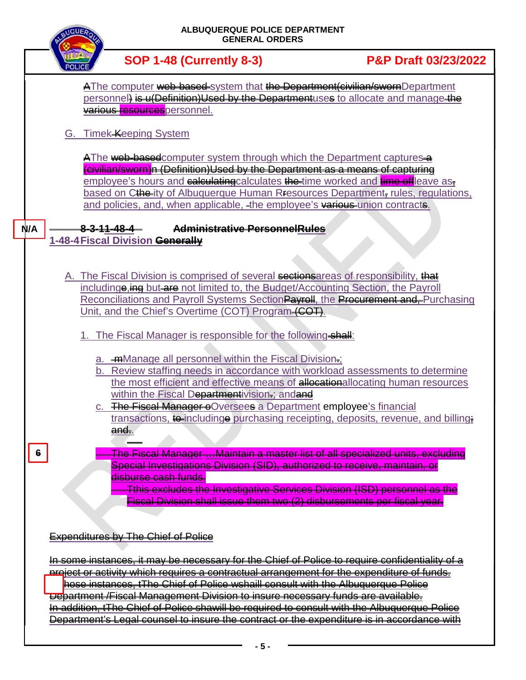|     | <b>NQUE</b> |    |                                                            |                                 | ALBUQUERQUE POLICE DEPARTMENT<br><b>GENERAL ORDERS</b>                                                               |                                                                                                                                                                                                                                                                                                                                                                                                                                                                                                                                                                               |
|-----|-------------|----|------------------------------------------------------------|---------------------------------|----------------------------------------------------------------------------------------------------------------------|-------------------------------------------------------------------------------------------------------------------------------------------------------------------------------------------------------------------------------------------------------------------------------------------------------------------------------------------------------------------------------------------------------------------------------------------------------------------------------------------------------------------------------------------------------------------------------|
|     |             |    |                                                            | <b>SOP 1-48 (Currently 8-3)</b> |                                                                                                                      | <b>P&amp;P Draft 03/23/2022</b>                                                                                                                                                                                                                                                                                                                                                                                                                                                                                                                                               |
|     |             |    | various resources personnel.<br>G. Timek-Keeping System    |                                 |                                                                                                                      | AThe computer web-based-system that the Department (civilian/swornDepartment<br>personnel) is u(Definition)Used by the Departmentuses to allocate and manage the                                                                                                                                                                                                                                                                                                                                                                                                              |
| N/A |             |    | <del>8-3-11-48-4</del><br>1-48-4 Fiscal Division Generally |                                 | Administrative PersonnelRules                                                                                        | A The web-based computer system through which the Department captures a<br>(civilian/sworn)n (Definition)Used by the Department as a means of capturing<br>employee's hours and calculating calculates the time worked and time of leave as-<br>based on Cthe-ity of Albuquerque Human R <sub>fesources</sub> Department, rules, regulations,<br>and policies, and, when applicable, -the employee's various union contracts.                                                                                                                                                 |
|     |             |    |                                                            |                                 | Unit, and the Chief's Overtime (COT) Program (COT).<br>1. The Fiscal Manager is responsible for the following shall: | A. The Fiscal Division is comprised of several sections areas of responsibility, that<br>includinge, ing but are not limited to, the Budget/Accounting Section, the Payroll<br>Reconciliations and Payroll Systems SectionPayroll, the Procurement and, Purchasing                                                                                                                                                                                                                                                                                                            |
|     |             | C. | <del>and.</del> .                                          |                                 | a. <b>mManage all personnel within the Fiscal Division</b> ;<br>within the Fiscal Departmentivision; and and         | b. Review staffing needs in accordance with workload assessments to determine<br>the most efficient and effective means of allocationallocating human resources<br>The Fiscal Manager eOversees a Department employee's financial<br>transactions, to including purchasing receipting, deposits, revenue, and billing.                                                                                                                                                                                                                                                        |
| 6   |             |    | <del>disburse cash funds.</del>                            |                                 |                                                                                                                      | <u> The Fiscal Manager …Maintain a master list of all specialized units, excluding</u><br>Special Investigations Division (SID), authorized to receive, maintain, or<br>Tthis excludes the Investigative Services Division (ISD) personnel as the<br>Fiscal Division shall issue them two (2) disbursements per fiscal year.                                                                                                                                                                                                                                                  |
|     |             |    | <b>Expenditures by The Chief of Police</b>                 |                                 |                                                                                                                      | In some instances, it may be necessary for the Chief of Police to require confidentiality of a<br>project or activity which requires a contractual arrangement for the expenditure of funds.<br>hose instances, tThe Chief of Police wshaill consult with the Albuquerque Police<br><del>Do</del> bartment /Fiscal Management Division to insure necessary funds are available.<br>In addition, tThe Chief of Police shawill be required to consult with the Albuquerque Police<br>Department's Legal counsel to insure the contract or the expenditure is in accordance with |
|     |             |    |                                                            |                                 |                                                                                                                      |                                                                                                                                                                                                                                                                                                                                                                                                                                                                                                                                                                               |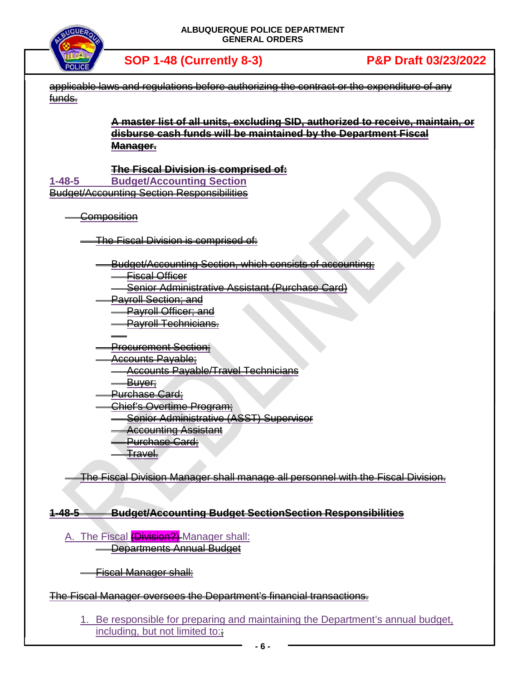

| applicable laws and | requlations before authorizing the contract or the expenditure of any            |
|---------------------|----------------------------------------------------------------------------------|
| funds.              |                                                                                  |
|                     | A master list of all units, excluding SID, authorized to receive, maintain, or   |
|                     | disburse cash funds will be maintained by the Department Fiscal                  |
|                     | Manager-                                                                         |
|                     |                                                                                  |
| $1 - 48 - 5$        | <b>The Fiscal Division is comprised of:</b><br><b>Budget/Accounting Section</b>  |
|                     | <b>Budget/Accounting Section Responsibilities</b>                                |
|                     |                                                                                  |
|                     | <del>Composition</del>                                                           |
|                     |                                                                                  |
|                     | The Fiscal Division is comprised of:                                             |
|                     | <b>Budget/Accounting Section, which consists of accounting:</b>                  |
|                     | Fiscal Officer                                                                   |
|                     | Senior Administrative Assistant (Purchase Card)                                  |
|                     | <b>Payroll Section; and</b>                                                      |
|                     | <b>Payroll Officer</b> ; and                                                     |
|                     | <b>Payroll Technicians.</b>                                                      |
|                     | <b>Procurement Section:</b>                                                      |
|                     | Accounts Payable;                                                                |
|                     | <b>Accounts Payable/Travel Technicians</b>                                       |
|                     | <del>Buver:</del>                                                                |
|                     | <del>Purchase Card;</del>                                                        |
|                     | <u> Chief's Overtime Program<del>;</del></u>                                     |
|                     | Senior Administrative (ASST) Superviser<br><b>Accounting Assistant</b>           |
|                     | <b>Purchase Card:</b>                                                            |
|                     | <del>Fravel.</del>                                                               |
|                     |                                                                                  |
|                     | The Fiscal Division Manager shall manage all personnel with the Fiscal Division. |
|                     |                                                                                  |
| <del>1-48-5</del>   | <b>Budget/Accounting Budget SectionSection Responsibilities</b>                  |
|                     |                                                                                  |
|                     | A. The Fiscal (Division?) Manager shall:                                         |
|                     | <b>Departments Annual Budget</b>                                                 |
|                     |                                                                                  |

Fiscal Manager shall:  $\blacksquare$ 

## The Fiscal Manager oversees the Department's financial transactions.

1. Be responsible for preparing and maintaining the Department's annual budget, including, but not limited to: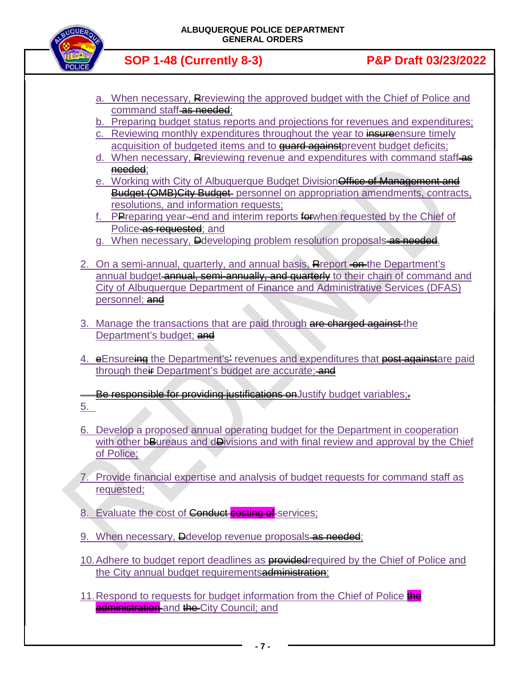

- a. When necessary, Rreviewing the approved budget with the Chief of Police and command staff as needed;
- b. Preparing budget status reports and projections for revenues and expenditures;
- c. Reviewing monthly expenditures throughout the year to **insure**ensure timely acquisition of budgeted items and to **quard against** prevent budget deficits;
- d. When necessary, Reviewing revenue and expenditures with command staff-as needed;
- e. Working with City of Albuquerque Budget Division Office of Management and Budget (OMB) City Budget personnel on appropriation amendments, contracts, resolutions, and information requests;
- **PPreparing year-end and interim reports forwhen requested by the Chief of** Police as requested; and
- g. When necessary, Dedeveloping problem resolution proposals-as needed.
- 2. On a semi-annual, quarterly, and annual basis, Report on the Department's annual budget annual, semi-annually, and quarterly to their chain of command and City of Albuquerque Department of Finance and Administrative Services (DFAS) personnel; and
- 3. Manage the transactions that are paid through are charged against the Department's budget; and
- 4. eEnsureing the Department's' revenues and expenditures that post againstare paid through their Department's budget are accurate; and

Be responsible for providing justifications on Justify budget variables;

- 5.
- 6. Develop a proposed annual operating budget for the Department in cooperation with other bBureaus and dDivisions and with final review and approval by the Chief of Police;
- 7. Provide financial expertise and analysis of budget requests for command staff as requested;
- 8. Evaluate the cost of Conduct costing of services;
- 9. When necessary, **D**develop revenue proposals as needed;
- 10. Adhere to budget report deadlines as **provided** required by the Chief of Police and the City annual budget requirementsadministration:
- 11. Respond to requests for budget information from the Chief of Police the administration and the City Council; and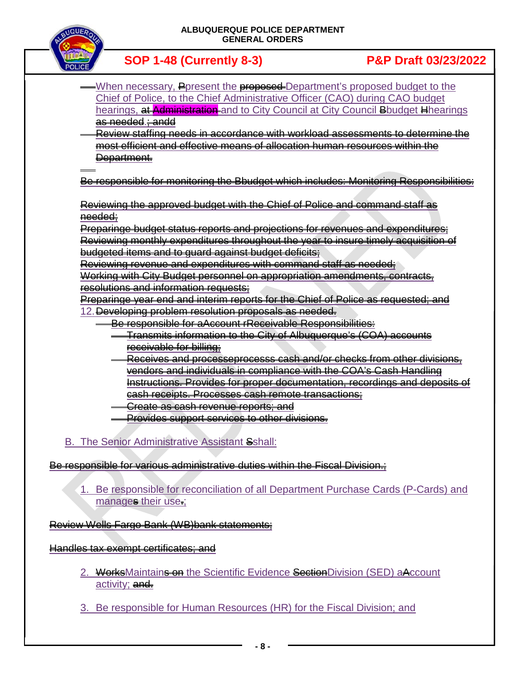

**SOP 1-48 (Currently 8-3) P&P Draft 03/23/2022**

- When necessary, Poresent the **proposed** Department's proposed budget to the Chief of Police, to the Chief Administrative Officer (CAO) during CAO budget hearings, at Administration and to City Council at City Council Bbudget Hhearings as needed.; andd
- Review staffing needs in accordance with workload assessments to determine the most efficient and effective means of allocation human resources within the Department.

Be responsible for monitoring the Bbudget which includes: Monitoring Responsibilities:

Reviewing the approved budget with the Chief of Police and command staff as needed;

Preparinge budget status reports and projections for revenues and expenditures; Reviewing monthly expenditures throughout the year to insure timely acquisition of budgeted items and to guard against budget deficits;

Reviewing revenue and expenditures with command staff as needed; Working with City Budget personnel on appropriation amendments, contracts, resolutions and information requests;

Preparinge year end and interim reports for the Chief of Police as requested; and 12.Developing problem resolution proposals as needed.

- Be responsible for aAccount rReceivable Responsibilities: Transmits information to the City of Albuquerque's (COA) accounts receivable for billing;
- Receives and processeprocesss cash and/or checks from other divisions, vendors and individuals in compliance with the COA's Cash Handling Instructions. Provides for proper documentation, recordings and deposits of cash receipts. Processes cash remote transactions;
- Create as cash revenue reports; and
- Provides support services to other divisions.

## B. The Senior Administrative Assistant Sshall:

Be responsible for various administrative duties within the Fiscal Division.;

1. Be responsible for reconciliation of all Department Purchase Cards (P-Cards) and manages their use.;

Review Wells Fargo Bank (WB)bank statements;

Handles tax exempt certificates; and

- 2. WorksMaintains on the Scientific Evidence SectionDivision (SED) aAccount activity; and.
- 3. Be responsible for Human Resources (HR) for the Fiscal Division; and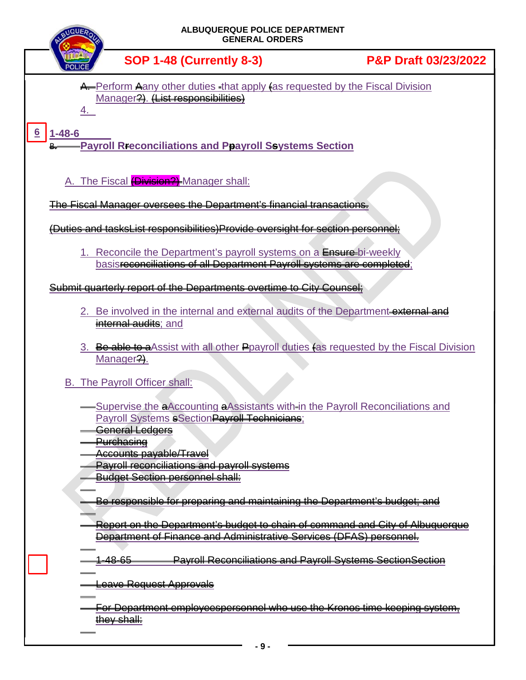| ALBUQUERQUE POLICE DEPARTMENT<br><b>GENERAL ORDERS</b>                                                                                                           |                                 |
|------------------------------------------------------------------------------------------------------------------------------------------------------------------|---------------------------------|
| <b>SOP 1-48 (Currently 8-3)</b>                                                                                                                                  | <b>P&amp;P Draft 03/23/2022</b> |
| A. Perform Aany other duties that apply (as requested by the Fiscal Division<br>Manager?). (List responsibilities)                                               |                                 |
| $1 - 48 - 6$<br><b>Payroll Reconciliations and Ppayroll Seystems Section</b>                                                                                     |                                 |
| A. The Fiscal (Division?) Manager shall:                                                                                                                         |                                 |
| <u>The Fiscal Manager eversees the Department's financial transactions.</u>                                                                                      |                                 |
| (Duties and tasksList responsibilities)Provide oversight for section personnel:                                                                                  |                                 |
| 1. Reconcile the Department's payroll systems on a Ensure-bi-weekly<br>basisreconciliations of all Department Payroll systems are completed;                     |                                 |
| Submit quarterly report of the Departments evertime to City Counsel:                                                                                             |                                 |
| 2. Be involved in the internal and external audits of the Department external and<br>internal audits; and                                                        |                                 |
| 3. Be able to a Assist with all other Ppayroll duties (as requested by the Fiscal Division<br>Manager?).                                                         |                                 |
| B. The Payroll Officer shall:                                                                                                                                    |                                 |
| -Supervise the aAccounting aAssistants with-in the Payroll Reconciliations and<br><b>Payroll Systems sSection Payroll Technicians:</b><br><b>General Ledgers</b> |                                 |
| <b>Purchasing</b><br>Accounts payable/Travel                                                                                                                     |                                 |
| <b>Payroll reconciliations and payroll systems</b><br><b>Budget Section personnel shall:</b>                                                                     |                                 |
| Be responsible for preparing and maintaining the Department's budget; and                                                                                        |                                 |
| Report on the Department's budget to chain of command and City of Albuquerque<br>Department of Finance and Administrative Services (DFAS) personnel.             |                                 |
| <b>Payroll Reconciliations and Payroll Systems SectionSection</b><br><del>-48-65</del>                                                                           |                                 |
| Leave Request Approvals                                                                                                                                          |                                 |
| <u>For Department employeespersonnel who use the Kronos time keeping system,</u><br>they shall:                                                                  |                                 |
| - 9 -                                                                                                                                                            |                                 |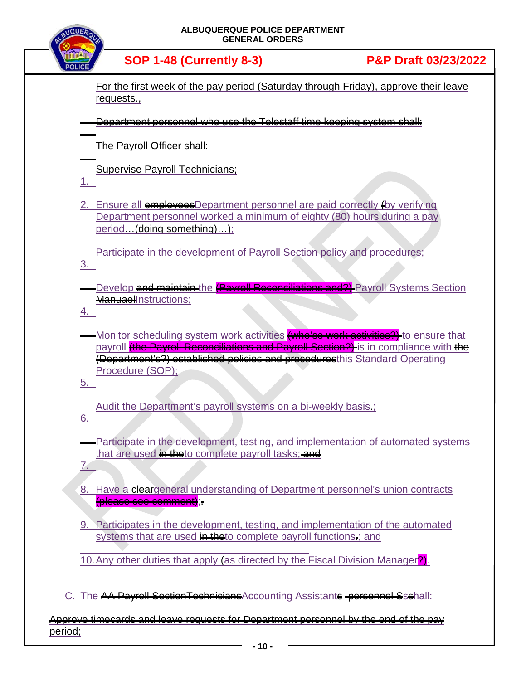

- For the first week of the pay period (Saturday through Friday), approve their leave requests.,
- Department personnel who use the Telestaff time keeping system shall:

The Payroll Officer shall:

**Supervise Payroll Technicians** 

1.

2. Ensure all **employees**Department personnel are paid correctly (by verifying Department personnel worked a minimum of eighty (80) hours during a pay period<del>…(doing somothing)…)</del>;

Participate in the development of Payroll Section policy and procedures; 3.

-Develop <del>and maintain t</del>he <mark>(Payroll Reconciliations and?)</mark> Payroll Systems Section ManuaelInstructions:

4.

-Monitor scheduling system work activities <del>(who'se work activities?)</del> to ensure that pavroll *(the Payroll Reconciliations and Payroll Section?)* is in compliance with the (Department's?) established policies and proceduresthis Standard Operating Procedure (SOP);

5.

7.

- Audit the Department's payroll systems on a bi-weekly basis-; 6.
- Participate in the development, testing, and implementation of automated systems that are used in theto complete payroll tasks; and
- 8. Have a cleargeneral understanding of Department personnel's union contracts (please see comment);.
- 9. Participates in the development, testing, and implementation of the automated systems that are used in theto complete payroll functions.: and
- 10. Any other duties that apply (as directed by the Fiscal Division Manager<sup>22</sup>).

C. The AA Payroll Section Technicians Accounting Assistants personnel Ssshall:

Approve timecards and leave requests for Department personnel by the end of the pay period;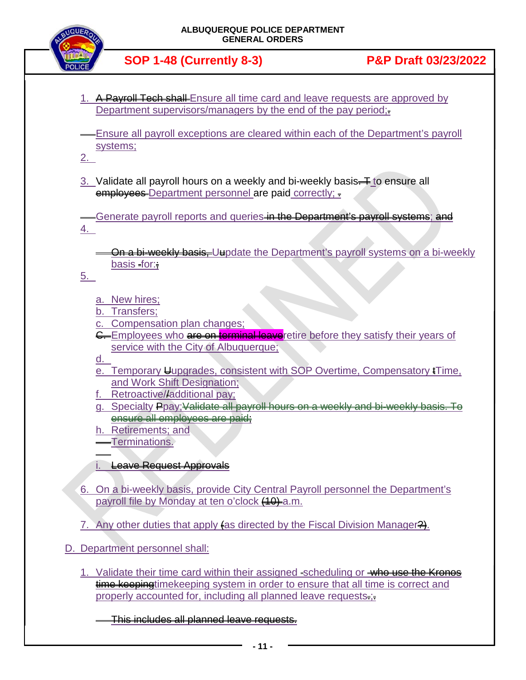

- 1. A Payroll Tech shall-Ensure all time card and leave requests are approved by Department supervisors/managers by the end of the pay period;
- Ensure all payroll exceptions are cleared within each of the Department's payroll systems;

2.

3. Validate all payroll hours on a weekly and bi-weekly basis $\frac{1}{2}$  to ensure all employees-Department personnel are paid correctly; =

Generate payroll reports and queries in the Department's payroll systems; and 4.

On a bi-weekly basis. Uupdate the Department's payroll systems on a bi-weekly basis for:;

5.

- a. New hires;
- b. Transfers;
- Compensation plan changes;
- G. Employees who are on torminal leaver etire before they satisfy their years of service with the City of Albuquerque;

d.

- e. Temporary Uupgrades, consistent with SOP Overtime, Compensatory tTime, and Work Shift Designation;
- f. Retroactive//additional pay;
- g. Specialty Ppay; Validate all payroll hours on a weekly and bi-weekly basis. To ensure all employees are paid;
- h. Retirements; and

Terminations.

i. Leave Request Approvals

- 6. On a bi-weekly basis, provide City Central Payroll personnel the Department's payroll file by Monday at ten o'clock (10) a.m.
- 7. Any other duties that apply  $\sharp$  as directed by the Fiscal Division Manager  $\frac{2}{3}$ .
- D. Department personnel shall:
	- 1. Validate their time card within their assigned scheduling or who use the Kronos time keepingtimekeeping system in order to ensure that all time is correct and properly accounted for, including all planned leave requests-;-

This includes all planned leave requests.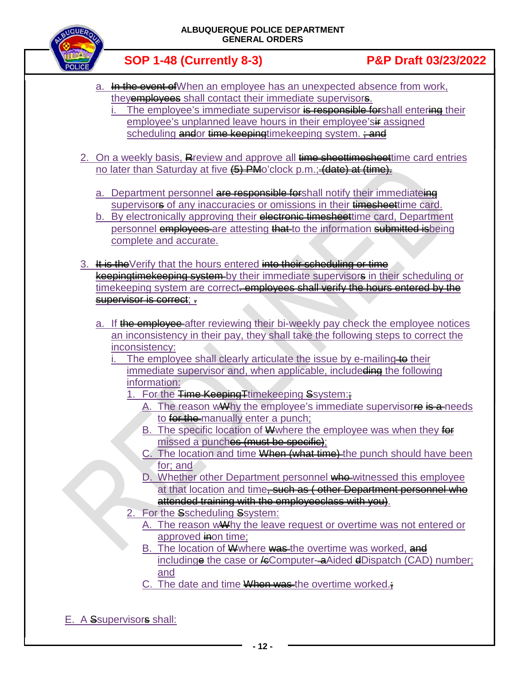

- a. In the event of When an employee has an unexpected absence from work, they**employees** shall contact their immediate supervisors.
	- The employee's immediate supervisor is responsible for shall entering their employee's unplanned leave hours in their employee's if assigned scheduling andor time keepingtimekeeping system.  $\div$  and
- 2. On a weekly basis, Review and approve all time sheettimesheettime card entries no later than Saturday at five (5) PMo'clock p.m.; (date) at (time).
	- a. Department personnel are responsible for shall notify their immediateing supervisors of any inaccuracies or omissions in their timesheettime card.
	- b. By electronically approving their electronic timesheet time card, Department personnel **employees** are attesting that to the information submitted is being complete and accurate.
- 3. It is the Verify that the hours entered into their scheduling or time keepingtimekeeping system by their immediate supervisors in their scheduling or timekeeping system are correct<del>. employees shall verify the hours entered by the</del> supervisor is correct:
	- a. If the employee after reviewing their bi-weekly pay check the employee notices an inconsistency in their pay, they shall take the following steps to correct the inconsistency:
		- The employee shall clearly articulate the issue by e-mailing to their immediate supervisor and, when applicable, includeding the following information:
			- 1. For the Time Keeping Timekeeping Ssystem:
				- A. The reason wWhy the employee's immediate supervisore is a needs to for the manually enter a punch;
				- B. The specific location of W where the employee was when they for missed a punches (must be specific);
				- C. The location and time When (what time) the punch should have been for; and
				- D. Whether other Department personnel who witnessed this employee at that location and time<del>, such as ( other Department personnel who</del> attended training with the employeeclass with you).
			- 2. For the Sscheduling Ssystem:
				- A. The reason wWhy the leave request or overtime was not entered or approved inon time:
				- B. The location of W where was the overtime was worked, and includinge the case or  $\#$ Computer- $\#$ Aided  $\#$ Dispatch (CAD) number; and
				- C. The date and time  $\frac{W}{W}$  was the overtime worked.
- E. A Ssupervisors shall: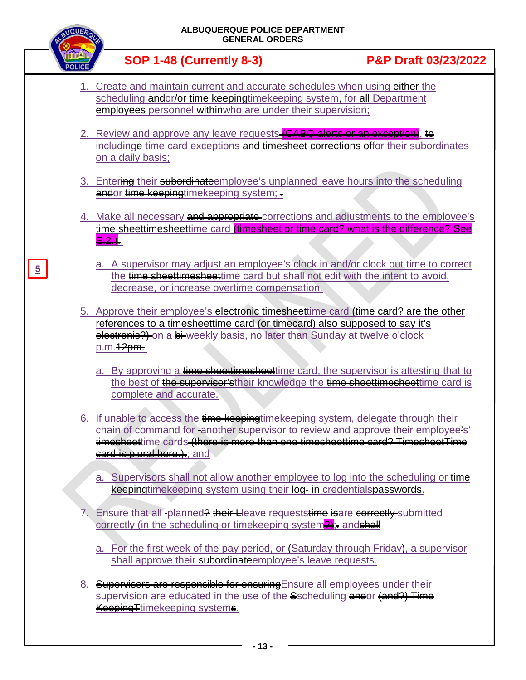| ALBUQUERQUE POLICE DEPARTMENT<br><b>GENERAL ORDERS</b>                                                                                                                                                                                                                                                                                                                                                                                                             |                                 |  |
|--------------------------------------------------------------------------------------------------------------------------------------------------------------------------------------------------------------------------------------------------------------------------------------------------------------------------------------------------------------------------------------------------------------------------------------------------------------------|---------------------------------|--|
| <b>SOP 1-48 (Currently 8-3)</b>                                                                                                                                                                                                                                                                                                                                                                                                                                    | <b>P&amp;P Draft 03/23/2022</b> |  |
| 1. Create and maintain current and accurate schedules when using either-the<br>scheduling andor/or time koopingtimekeeping system, for all Department<br>employees personnel withinwho are under their supervision;                                                                                                                                                                                                                                                |                                 |  |
| 2. Review and approve any leave requests (CABQ alerts or an exception), to<br>includinge time card exceptions and timesheet corrections offor their subordinates<br>on a daily basis;                                                                                                                                                                                                                                                                              |                                 |  |
| 3. Entering their subordinateemployee's unplanned leave hours into the scheduling<br>andor time keepingtimekeeping system; -                                                                                                                                                                                                                                                                                                                                       |                                 |  |
| 4. Make all necessary and appropriate corrections and adjustments to the employee's<br>time sheettimesheettime card timesheet or time card? what is the difference? See<br>a. A supervisor may adjust an employee's clock in and/or clock out time to correct                                                                                                                                                                                                      |                                 |  |
| the time sheettimesheettime card but shall not edit with the intent to avoid,<br>decrease, or increase overtime compensation.                                                                                                                                                                                                                                                                                                                                      |                                 |  |
| 5. Approve their employee's electronic timesheettime card (time card? are the other<br>references to a timesheettime card (or timecard) also supposed to say it's<br>electronic?) on a bi-weekly basis, no later than Sunday at twelve o'clock<br>p.m. 12pm.;<br>a. By approving a time sheettimesheettime card, the supervisor is attesting that to<br>the best of the supervisor's their knowledge the time sheettimesheettime card is<br>complete and accurate. |                                 |  |
| 6. If unable to access the time koopingtimekeeping system, delegate through their<br>chain of command for another supervisor to review and approve their employee's'<br>timesheettime cards (there is more than one timesheettime card? TimesheetTime<br>card is plural hore.).; and                                                                                                                                                                               |                                 |  |
| a. Supervisors shall not allow another employee to log into the scheduling or time<br>keepingtimekeeping system using their log- in credentialspasswords.                                                                                                                                                                                                                                                                                                          |                                 |  |
| 7. Ensure that all -planned <del>? their L</del> leave requests <del>time is</del> are correctly-submitted<br>correctly (in the scheduling or timekeeping system <sup>2</sup> ): and<br>a. For the first week of the pay period, or (Saturday through Friday), a supervisor<br>shall approve their subordinate employee's leave requests.                                                                                                                          |                                 |  |
| 8. Supervisors are responsible for ensuring Ensure all employees under their<br>supervision are educated in the use of the Sscheduling andor (and?) Time<br><b>Keeping Ttimekeeping systems.</b>                                                                                                                                                                                                                                                                   |                                 |  |

**5**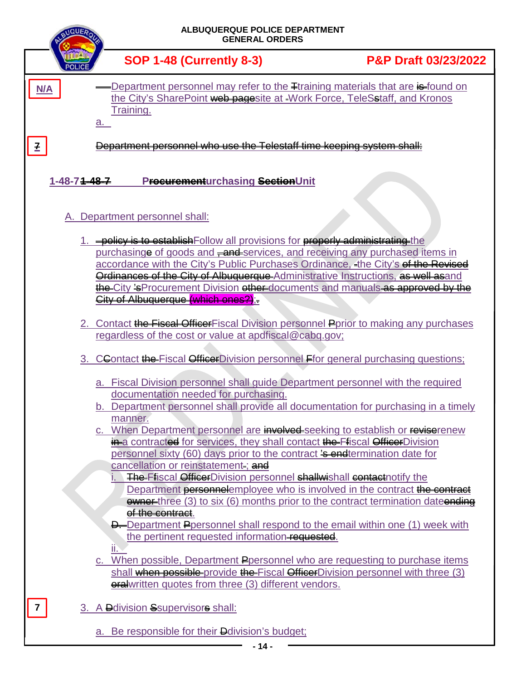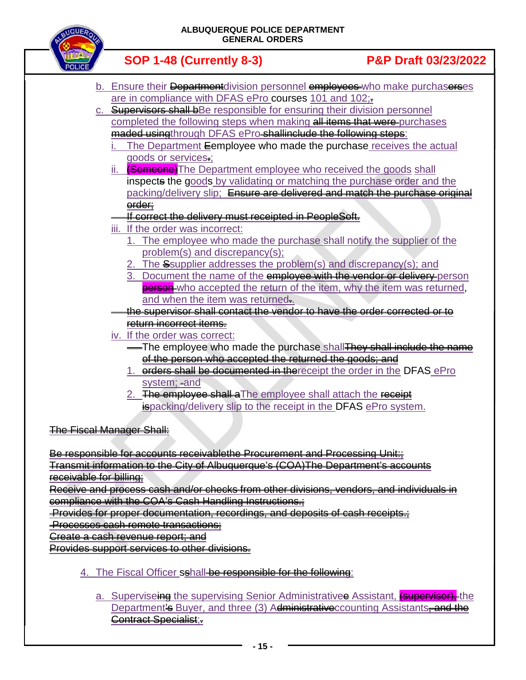

|    | GENERAL ORDERS                                                                                       |                                 |
|----|------------------------------------------------------------------------------------------------------|---------------------------------|
|    | <b>SOP 1-48 (Currently 8-3)</b>                                                                      | <b>P&amp;P Draft 03/23/2022</b> |
|    | b. Ensure their Department division personnel employees who make purchaserses                        |                                 |
|    | are in compliance with DFAS ePro courses 101 and 102;-                                               |                                 |
| C. | <b>Supervisors shall bBe responsible for ensuring their division personnel</b>                       |                                 |
|    | completed the following steps when making all items that were purchases                              |                                 |
|    | maded usingthrough DFAS ePro-shallinclude the following steps:                                       |                                 |
|    | The Department Eemployee who made the purchase receives the actual                                   |                                 |
|    | goods or services.;                                                                                  |                                 |
|    | ii. <b>(Someone)</b> The Department employee who received the goods shall                            |                                 |
|    | inspects the goods by validating or matching the purchase order and the                              |                                 |
|    | packing/delivery slip; Ensure are delivered and match the purchase original                          |                                 |
|    | erder;                                                                                               |                                 |
|    | If correct the delivery must receipted in PeopleSeft.                                                |                                 |
|    | iii. If the order was incorrect:                                                                     |                                 |
|    | 1. The employee who made the purchase shall notify the supplier of the                               |                                 |
|    | problem(s) and discrepancy(s);                                                                       |                                 |
|    | 2. The Ssupplier addresses the problem(s) and discrepancy(s); and                                    |                                 |
|    | Document the name of the employee with the vender or delivery person<br>3.                           |                                 |
|    | person-who accepted the return of the item, why the item was returned,                               |                                 |
|    | and when the item was returned.                                                                      |                                 |
|    | the supervisor shall contact the vendor to have the order corrected or to<br>return incorrect items. |                                 |
|    | iv. If the order was correct:                                                                        |                                 |
|    | -The employee who made the purchase shall They shall include the name                                |                                 |
|    | of the person who accepted the returned the goods; and                                               |                                 |
|    | 1. orders shall be documented in the receipt the order in the DFAS ePro                              |                                 |
|    | system; and                                                                                          |                                 |
|    | 2. The employee shall a The employee shall attach the receipt                                        |                                 |
|    | <b>ispacking/delivery slip to the receipt in the DFAS ePro system.</b>                               |                                 |
|    |                                                                                                      |                                 |

The Fiscal Manager Shall:

Be responsible for accounts receivablethe Procurement and Processing Unit:: Transmit information to the City of Albuquerque's (COA)The Department's accounts

receivable for billing;

Receive and process cash and/or checks from other divisions, vendors, and individuals in compliance with the COA's Cash Handling Instructions.;

Provides for proper documentation, recordings, and deposits of cash receipts.;

Processes cash remote transactions;

Create a cash revenue report; and

Provides support services to other divisions.

- 4. The Fiscal Officer sshall be responsible for the following:
	- a. Superviseing the supervising Senior Administrativee Assistant, **(supervisor)** the Department's Buyer, and three (3) Administrative counting Assistants-and the Contract Specialist;.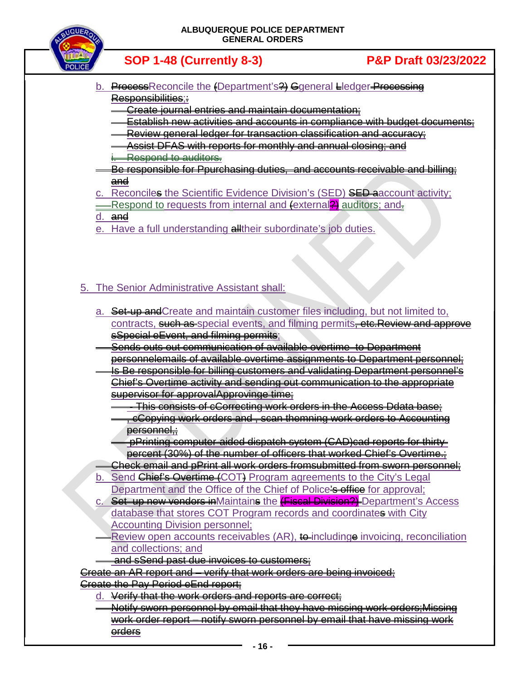

- b. ProcessReconcile the (Department's ?) Ggeneral Lledger Processing Responsibilities:
	- Create journal entries and maintain documentation;
	- Establish new activities and accounts in compliance with budget documents;
	- Review general ledger for transaction classification and accuracy;
	- Assist DFAS with reports for monthly and annual closing; and i. Respond to auditors.
- Be responsible for Ppurchasing duties, and accounts receivable and billing; and
- c. Reconciles the Scientific Evidence Division's (SED) SED aaccount activity;
- **EXECTED** Respond to requests from internal and (external **2)** auditors; and d. and
- e. Have a full understanding alltheir subordinate's job duties.

## 5. The Senior Administrative Assistant shall:

- a. Set-up and Create and maintain customer files including, but not limited to, contracts, such as special events, and filming permits, etc. Review and approve sSpecial eEvent, and filming permits;
- Sends outs out communication of available overtime to Department personnelemails of available overtime assignments to Department personnel;
- Is Be responsible for billing customers and validating Department personnel's Chief's Overtime activity and sending out communication to the appropriate supervisor for approvalApprovinge time;
	- This consists of cCorrecting work orders in the Access Ddata base; , cCopying work orders and , scan themning work orders to Accounting personnel,
	- pPrinting computer-aided dispatch system (CAD)cad reports for thirtypercent (30%) of the number of officers that worked Chief's Overtime.;
- Check email and pPrint all work orders fromsubmitted from sworn personnel;
- Send Chief's Overtime (COT) Program agreements to the City's Legal Department and the Office of the Chief of Police's office for approval;
- c. Set up new vendors in Maintains the **(Fiscal Division?)** Department's Access database that stores COT Program records and coordinates with City Accounting Division personnel;
- Review open accounts receivables  $(AR)$ , to includinge invoicing, reconciliation and collections; and
- and sSend past due invoices to customers;

Create an AR report and – verify that work orders are being invoiced; Create the Pay Period eEnd report;

- Verify that the work orders and reports are correct:
	- Notify sworn personnel by email that they have missing work orders;Missing work order report – notify sworn personnel by email that have missing work orders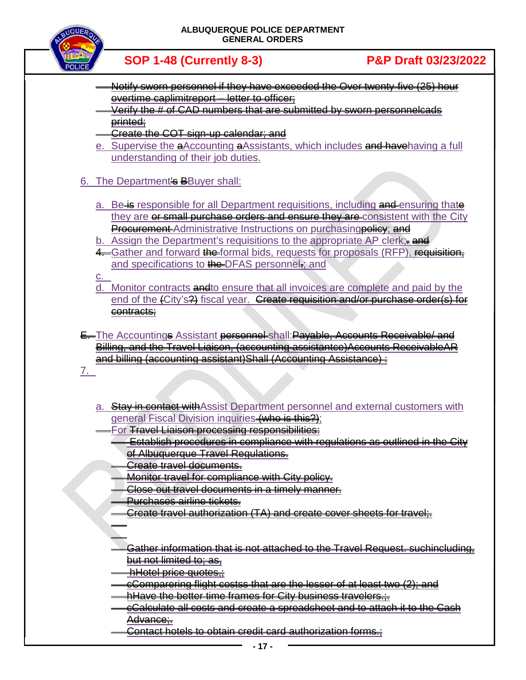

- Notify sworn personnel if they have exceeded the Over twenty-five (25) hour overtime caplimitreport – letter to officer;
- Verify the # of CAD numbers that are submitted by sworn personnelcads printed;
- Create the COT sign-up calendar; and
- e. Supervise the aAccounting aAssistants, which includes and have having a full understanding of their job duties.
- 6. The Department's **B**Buver shall:
	- a. Be is responsible for all Department requisitions, including and ensuring thate they are or small purchase orders and ensure they are consistent with the City **Procurement-Administrative Instructions on purchasing policy; and**
	- b. Assign the Department's requisitions to the appropriate AP clerk; and
	- 4. Gather and forward the formal bids, requests for proposals (RFP), requisition, and specifications to the DFAS personnel.; and

c.

- d. Monitor contracts and to ensure that all invoices are complete and paid by the end of the (City's<sup>2</sup>) fiscal year. Greate requisition and/or purchase order(s) for contracts;
- E. The Accountings Assistant personnel shall: Payable, Accounts Receivable/ and Billing, and the Travel Liaison, (accounting assistantce)Accounts ReceivableAR and billing (accounting assistant)Shall (Accounting Assistance) :

7.

- a. Stay in contact with Assist Department personnel and external customers with general Fiscal Division inquiries (who is this?);
- For Travel Liaison processing responsibilities:
	- Establish procedures in compliance with regulations as outlined in the City of Albuquerque Travel Regulations.
	- Create travel documents.
	- Monitor travel for compliance with City policy.
	- Close out travel documents in a timely manner.
	- Purchases airline tickets.
	- Create travel authorization (TA) and create cover sheets for travel;
	-
	- Gather information that is not attached to the Travel Request. suchincluding, but not limited to; as,
	- hHotel price quotes,;
	- cComparering flight costss that are the lesser of at least two (2); and
	- hHave the better time frames for City business travelers...
	- cCalculate all costs and create a spreadsheet and to attach it to the Cash Advance;
	- Contact hotels to obtain credit card authorization forms.;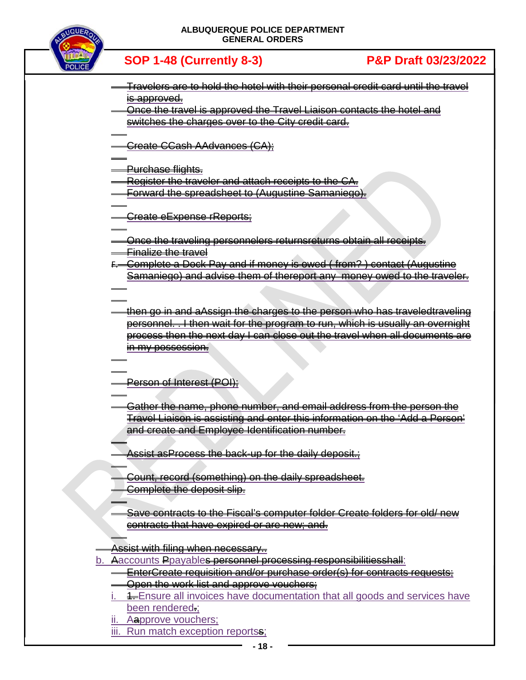

- Travelers are to hold the hotel with their personal credit card until the travel is approved.
- Once the travel is approved the Travel Liaison contacts the hotel and switches the charges over to the City credit card.

Create CCash AAdvances (CA);

Purchase flights.

Register the traveler and attach receipts to the CA.

Forward the spreadsheet to (Augustine Samaniego).

Create eExpense rReports;

Once the traveling personnelers returnsreturns obtain all receipts. Finalize the travel

- F. Complete a Dock Pay and if money is owed ( from? ) contact (Augustine Samaniego) and advise them of thereport any money owed to the traveler.
- then go in and aAssign the charges to the person who has traveledtraveling personnel. . I then wait for the program to run, which is usually an overnight process then the next day I can close out the travel when all documents are in my possession.

## Person of Interest (POI);

Gather the name, phone number, and email address from the person the Travel Liaison is assisting and enter this information on the 'Add a Person' and create and Employee Identification number.

Assist as Process the back-up for the daily deposit.

- Count, record (something) on the daily spreadsheet. Complete the deposit slip.
- Save contracts to the Fiscal's computer folder Create folders for old/ new contracts that have expired or are new; and.

Assist with filing when necessary..

- b. Aaccounts Ppayables personnel processing responsibilitiesshall:
	- EnterCreate requisition and/or purchase order(s) for contracts requests;
	- **Open the work list and approve vouchers;**
	- **4.** Ensure all invoices have documentation that all goods and services have been rendered.;
	- ii. Aapprove vouchers;
	- iii. Run match exception reportss;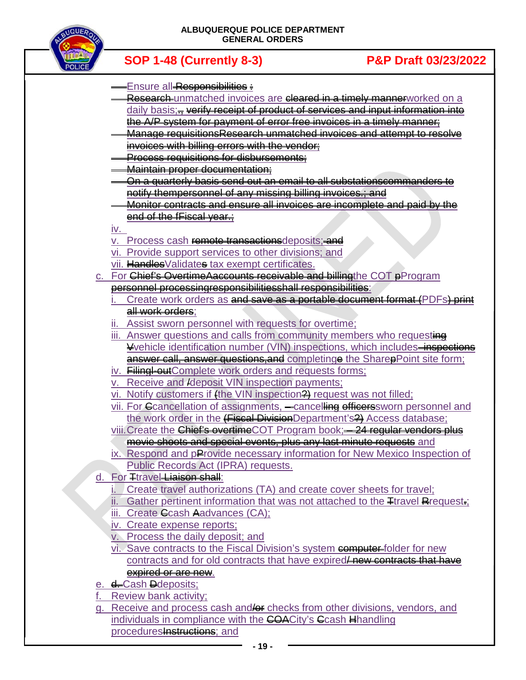

- Ensure all Responsibilities :
- Research unmatched invoices are cleared in a timely mannerworked on a daily basis;<del>., verify receipt of product of services and input information into</del> the A/P system for payment of error free invoices in a timely manner;
- Manage requisitionsResearch unmatched invoices and attempt to resolve invoices with billing errors with the vendor;
- **Process requisitions for disbursements:**
- Maintain proper documentation;
- On a quarterly basis send out an email to all substationscommanders to notify thempersonnel of any missing billing invoices.; and
- Monitor contracts and ensure all invoices are incomplete and paid by the end of the fFiscal year.;

## iv.

- v. Process cash remote transactions deposits; and
- vi. Provide support services to other divisions; and
- vii. Handles Validates tax exempt certificates.
- c. For Chief's OvertimeAaccounts receivable and billingthe COT pProgram personnel processingresponsibilitiesshall responsibilities:
	- Create work orders as and save as a portable document format (PDFs) print all work orders;
	- Assist sworn personnel with requests for overtime;
	- iii. Answer questions and calls from community members who requesting Vvehicle identification number (VIN) inspections, which includes—inspections answer call, answer questions, and completinge the SharepPoint site form;
	- iv. **Filing-out**Complete work orders and requests forms;
	- v. Receive and /deposit VIN inspection payments;
	- vi. Notify customers if (the VIN inspection<sup>24</sup>) request was not filled;
	- vii. For Ccancellation of assignments, -cancelling officerssworn personnel and the work order in the (Fiscal DivisionDepartment's<sup>2</sup>) Access database;
	- viii. Create the Chief's overtimeCOT Program book; 24 regular vendors plus movie shoots and special events, plus any last minute requests and
	- ix. Respond and pProvide necessary information for New Mexico Inspection of Public Records Act (IPRA) requests.
- For Ttravel Liaison shall:
	- i. Create travel authorizations (TA) and create cover sheets for travel;
	- ii. Gather pertinent information that was not attached to the  $\mp$ travel Reequest.
	- iii. Create Ccash Aadvances (CA);
	- iv. Create expense reports;
	- v. Process the daily deposit; and
	- vi. Save contracts to the Fiscal Division's system computer folder for new contracts and for old contracts that have expired<del>/new contracts that have</del> expired or are new.
- e. d.-Cash Ddeposits;
- Review bank activity:
- g. Receive and process cash and <del>for</del> checks from other divisions, vendors, and individuals in compliance with the COACity's Cash Hhandling proceduresInstructions; and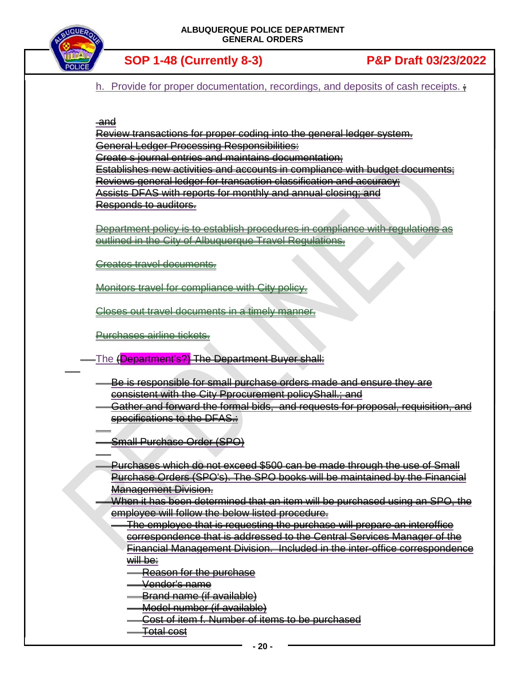

**SOP 1-48 (Currently 8-3) P&P Draft 03/23/2022**

h. Provide for proper documentation, recordings, and deposits of cash receipts.  $\frac{1}{2}$ 

### $\frac{a}{2}$ nd

Review transactions for proper coding into the general ledger system. General Ledger Processing Responsibilities: Create s journal entries and maintains documentation; Establishes new activities and accounts in compliance with budget documents; Reviews general ledger for transaction classification and accuracy; Assists DFAS with reports for monthly and annual closing; and Responds to auditors.

Department policy is to establish procedures in compliance with regulations as outlined in the City of Albuquerque Travel Regulations.

Creates travel documents.

Monitors travel for compliance with City policy.

Closes out travel documents in a timely manner.

Purchases airline tickets.

-The (<mark>Department's?)</mark> The Department Buyer shall:

Be is responsible for small purchase orders made and ensure they are consistent with the City Pprocurement policyShall.; and

Gather and forward the formal bids, and requests for proposal, requisition, and specifications to the DFAS.:

Small Purchase Order (SPO)

Purchases which do not exceed \$500 can be made through the use of Small Purchase Orders (SPO's). The SPO books will be maintained by the Financial Management Division.

When it has been determined that an item will be purchased using an SPO, the employee will follow the below listed procedure.

The employee that is requesting the purchase will prepare an interoffice correspondence that is addressed to the Central Services Manager of the Financial Management Division. Included in the inter-office correspondence will be:

Reason for the purchase

Vendor's name

Brand name (if available)

Model number (if available)

- Cost of item f. Number of items to be purchased
- Total cost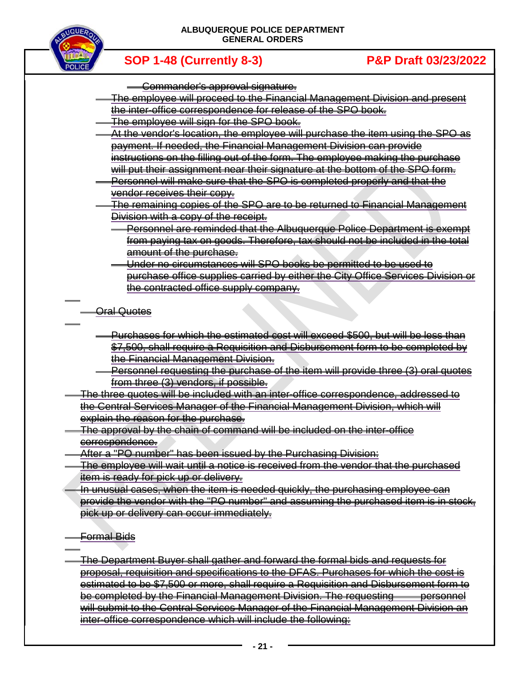



- Commander's approval signature.
- The employee will proceed to the Financial Management Division and present the inter-office correspondence for release of the SPO book.
- The employee will sign for the SPO book.
- At the vendor's location, the employee will purchase the item using the SPO as payment. If needed, the Financial Management Division can provide instructions on the filling out of the form. The employee making the purchase will put their assignment near their signature at the bottom of the SPO form.
	- Personnel will make sure that the SPO is completed properly and that the vendor receives their copy.
- The remaining copies of the SPO are to be returned to Financial Management Division with a copy of the receipt.
	- Personnel are reminded that the Albuquerque Police Department is exempt from paying tax on goods. Therefore, tax should not be included in the total amount of the purchase.
	- Under no circumstances will SPO books be permitted to be used to purchase office supplies carried by either the City Office Services Division or the contracted office supply company.
- Oral Quotes
	- Purchases for which the estimated cost will exceed \$500, but will be less than \$7,500, shall require a Requisition and Disbursement form to be completed by the Financial Management Division.
	- Personnel requesting the purchase of the item will provide three (3) oral quotes from three (3) vendors, if possible.
- The three quotes will be included with an inter-office correspondence, addressed to the Central Services Manager of the Financial Management Division, which will explain the reason for the purchase.
- The approval by the chain of command will be included on the inter-office correspondence.
- After a "PO number" has been issued by the Purchasing Division:
- The employee will wait until a notice is received from the vendor that the purchased item is ready for pick up or delivery.
- In unusual cases, when the item is needed quickly, the purchasing employee can provide the vendor with the "PO number" and assuming the purchased item is in stock, pick up or delivery can occur immediately.
- <del>Formal Bids</del>
- The Department Buyer shall gather and forward the formal bids and requests for proposal, requisition and specifications to the DFAS. Purchases for which the cost is estimated to be \$7,500 or more, shall require a Requisition and Disbursement form to be completed by the Financial Management Division. The requesting personnel will submit to the Central Services Manager of the Financial Management Division an inter-office correspondence which will include the following: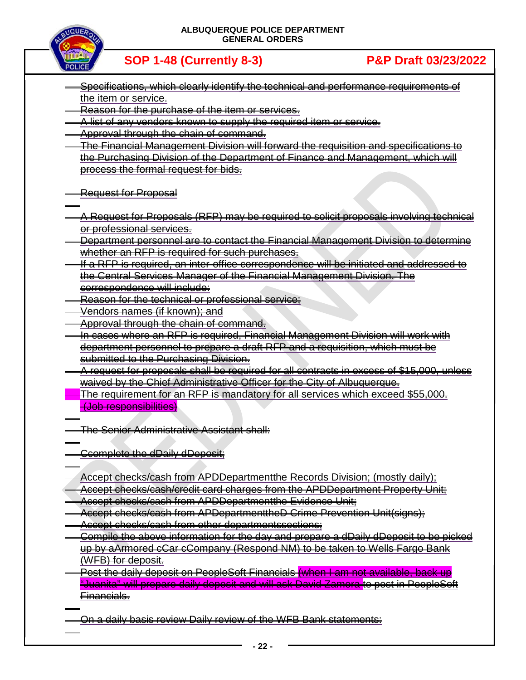

**SOP 1-48 (Currently 8-3) P&P Draft 03/23/2022**

- Specifications, which clearly identify the technical and performance requirements of the item or service.
- Reason for the purchase of the item or services.
- A list of any vendors known to supply the required item or service.
- Approval through the chain of command.
- The Financial Management Division will forward the requisition and specifications to the Purchasing Division of the Department of Finance and Management, which will process the formal request for bids.
- **Request for Proposal**
- A Request for Proposals (RFP) may be required to solicit proposals involving technical or professional services.
- Department personnel are to contact the Financial Management Division to determine whether an RFP is required for such purchases.
- If a RFP is required, an inter-office correspondence will be initiated and addressed to the Central Services Manager of the Financial Management Division. The correspondence will include:
- Reason for the technical or professional service;
- Vendors names (if known); and
- Approval through the chain of command.
- In cases where an RFP is required, Financial Management Division will work with department personnel to prepare a draft RFP and a requisition, which must be submitted to the Purchasing Division.
- A request for proposals shall be required for all contracts in excess of \$15,000, unless waived by the Chief Administrative Officer for the City of Albuquerque.
- **The requirement for an RFP is mandatory for all services which exceed \$55,000.** (Job responsibilities)
- The Senior Administrative Assistant shall:
- **Ccomplete the dDaily dDeposit;**
- Accept checks/cash from APDDepartmentthe Records Division; (mostly daily);
- Accept checks/cash/credit card charges from the APDDepartment Property Unit;
- Accept checks/cash from APDDepartmentthe Evidence Unit;
- Accept checks/cash from APDepartmenttheD Crime Prevention Unit(signs);
- Accept checks/cash from other departmentssections;
- Compile the above information for the day and prepare a dDaily dDeposit to be picked up by aArmored cCar cCompany (Respond NM) to be taken to Wells Fargo Bank (WFB) for deposit.
- Post the daily deposit on PeopleSoft Financials (when I am not available, back up "Juanita" will prepare daily deposit and will ask David Zamora to post in PeopleSoft Financials.

On a daily basis review Daily review of the WFB Bank statements: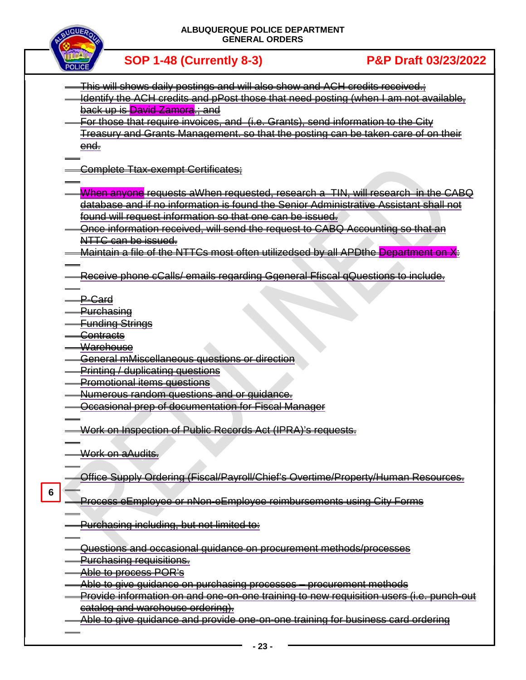

|                 | <u>This will shows daily postings and will also show and ACH crodits recoived.;</u>            |  |  |  |
|-----------------|------------------------------------------------------------------------------------------------|--|--|--|
|                 | Identify the ACH credits and pPost those that need posting (when I am not available,           |  |  |  |
|                 |                                                                                                |  |  |  |
|                 | <del>back up is David Zamora.; and</del>                                                       |  |  |  |
|                 | For those tha <u>t require invoices, and (i.e. Grants), send information to the City</u>       |  |  |  |
|                 | <u>Treasury and Grants Management. so that the posting can be taken care of on their</u>       |  |  |  |
|                 | <del>end.</del>                                                                                |  |  |  |
|                 |                                                                                                |  |  |  |
|                 | <del>Complete Ttax-exempt Certificates;</del>                                                  |  |  |  |
|                 |                                                                                                |  |  |  |
|                 | When anyone requests aWhen requested, research a TIN, will research in the CABQ                |  |  |  |
|                 | database and if no information is found the Senior Administrative Assistant shall not          |  |  |  |
|                 | found will request information so that one can be issued.                                      |  |  |  |
|                 |                                                                                                |  |  |  |
|                 | Once information received, will send the request to CABQ Accounting so that an                 |  |  |  |
|                 | NTTC can be issued.                                                                            |  |  |  |
|                 | Maintain a file of the NTTCs most often utilizedsed by all APDthe Department on X:             |  |  |  |
|                 |                                                                                                |  |  |  |
|                 | <u> Receive phone cCalls/ emails regarding Ggeneral Ffiscal gQuestions to include-</u>         |  |  |  |
|                 |                                                                                                |  |  |  |
|                 | <del>P-Card</del>                                                                              |  |  |  |
|                 | <del>Purchasing</del>                                                                          |  |  |  |
|                 | <b>Funding Strings</b>                                                                         |  |  |  |
|                 |                                                                                                |  |  |  |
|                 | <del>Contracts</del>                                                                           |  |  |  |
|                 | <del>Warehouse</del>                                                                           |  |  |  |
|                 | General mMiscellaneous questions or direction                                                  |  |  |  |
|                 | <u> Printing / duplicating questions</u>                                                       |  |  |  |
|                 | Promotional items questions                                                                    |  |  |  |
|                 | Numerous random questions and or quidance.                                                     |  |  |  |
|                 | Occasional prep of documentation for Fiscal Manager                                            |  |  |  |
|                 |                                                                                                |  |  |  |
|                 | Work on Inspection of Public Records Act (IPRA)'s requests.                                    |  |  |  |
|                 |                                                                                                |  |  |  |
|                 | Work on aAudits.                                                                               |  |  |  |
|                 |                                                                                                |  |  |  |
|                 |                                                                                                |  |  |  |
|                 | Office Supply Ordering (Fiscal/Payroll/Chief's Overtime/Property/Human Resources.              |  |  |  |
| $6\phantom{1}6$ |                                                                                                |  |  |  |
|                 | <u>Process eEmployee or nNon-eEmployee reimbursements using City Forms</u>                     |  |  |  |
|                 |                                                                                                |  |  |  |
|                 | <u>Purchasing including, but not limited to:</u>                                               |  |  |  |
|                 |                                                                                                |  |  |  |
|                 | <del>Questions and occasional quidance on procurement methods/processes</del>                  |  |  |  |
|                 | <b>Purchasing requisitions.</b>                                                                |  |  |  |
|                 | <del>Able to process POR's</del>                                                               |  |  |  |
|                 |                                                                                                |  |  |  |
|                 |                                                                                                |  |  |  |
|                 | <u>Provide information on and one-on-one training to new requisition users (i.e. punch-out</u> |  |  |  |
|                 | <del>catalog and warehouse ordering).</del>                                                    |  |  |  |
|                 | Able to give quidance and provide one-on-one training for business card ordering               |  |  |  |
|                 |                                                                                                |  |  |  |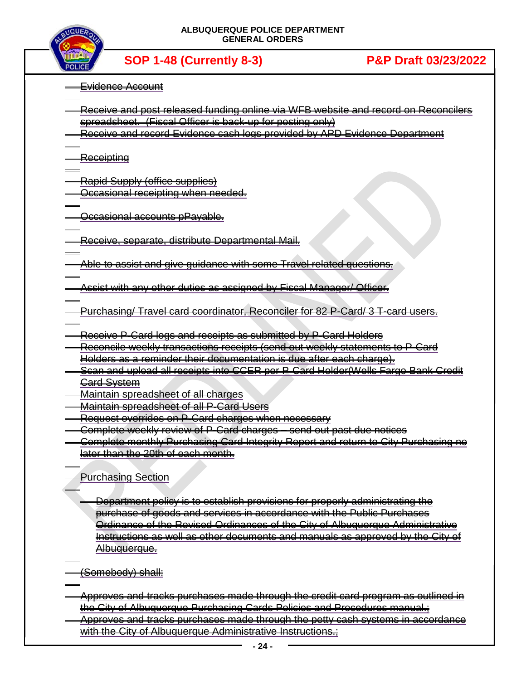

**SOP 1-48 (Currently 8-3) P&P Draft 03/23/2022**

Evidence Account

- Receive and post released funding online via WFB website and record on Reconcilers spreadsheet. (Fiscal Officer is back-up for posting only)
- Receive and record Evidence cash logs provided by APD Evidence Department

<del>Receipting</del>

Rapid Supply (office supplies)

**Occasional receipting when needed.** 

Occasional accounts pPayable.

Receive, separate, distribute Departmental Mail.

Able to assist and give guidance with some Travel related questions.

Assist with any other duties as assigned by Fiscal Manager/ Officer.

- Purchasing/ Travel card coordinator, Reconciler for 82 P-Card/ 3 T-card users.
- Receive P-Card logs and receipts as submitted by P-Card Holders
- Reconcile weekly transactions receipts (send out weekly statements to P-Card Holders as a reminder their documentation is due after each charge).
- Scan and upload all receipts into CCER per P-Card Holder(Wells Fargo Bank Credit Gard System
- Maintain spreadsheet of all charges
- Maintain spreadsheet of all P-Card Users
- Request overrides on P-Card charges when necessary
- Complete weekly review of P-Card charges send out past due notices
- Complete monthly Purchasing Card Integrity Report and return to City Purchasing no later than the 20th of each month.
- Purchasing Section
	- Department policy is to establish provisions for properly administrating the purchase of goods and services in accordance with the Public Purchases Ordinance of the Revised Ordinances of the City of Albuquerque Administrative Instructions as well as other documents and manuals as approved by the City of Albuquerque.
- (Somebody) shall:
- Approves and tracks purchases made through the credit card program as outlined in the City of Albuquerque Purchasing Cards Policies and Procedures manual.;
- Approves and tracks purchases made through the petty cash systems in accordance with the City of Albuquerque Administrative Instructions.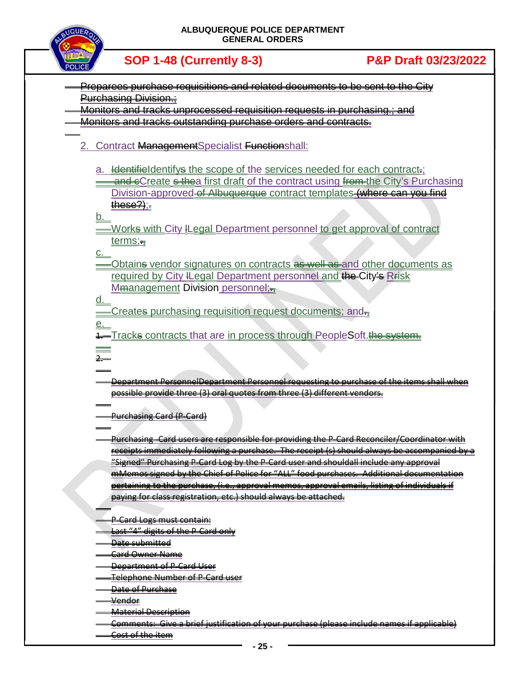

Preparees purchase requisitions and related documents to be sent to the City Purchasing Division.; Monitors and tracks unprocessed requisition requests in purchasing.; and Monitors and tracks outstanding purchase orders and contracts. 2. Contract ManagementSpecialist Functionshall: a. Identifieldentifys the scope of the services needed for each contract. and eCreate s thea first draft of the contract using from the City's Purchasing Division-approved of Albuquerque contract templates (where can you find  $t$ hese $?$ ); $<sub>z</sub>$ </sub> b. Works with City ILegal Department personnel to get approval of contract terms;c. -Obtains vendor signatures on contracts as well as and other documents as required by City ILegal Department personnel and the City's Rrisk Mmanagement Division personnel; d. Creates purchasing requisition request documents; ande. Tracks contracts that are in process through PeopleSoft.the system. 2. Department PersonnelDepartment Personnel requesting to purchase of the items shall when possible provide three (3) oral quotes from three (3) different vendors. Purchasing Card (P-Card) Purchasing -Card users are responsible for providing the P-Card Reconciler/Coordinator with receipts immediately following a purchase. The receipt (s) should always be accompanied by a "Signed" Purchasing P-Card Log by the P-Card user and shouldall include any approval mMemos signed by the Chief of Police for "ALL" food purchases. Additional documentation pertaining to the purchase, (i.e., approval memos, approval emails, listing of individuals if paying for class registration, etc.) should always be attached. P-Card Logs must contain: Last "4" digits of the P-Card only Date submitted <del>Card Owner Name</del> Department of P-Card User Telephone Number of P-Card user Date of Purchase Vendor Material Description Comments: Give a brief justification of your purchase (please include names if applicable) Cost of the item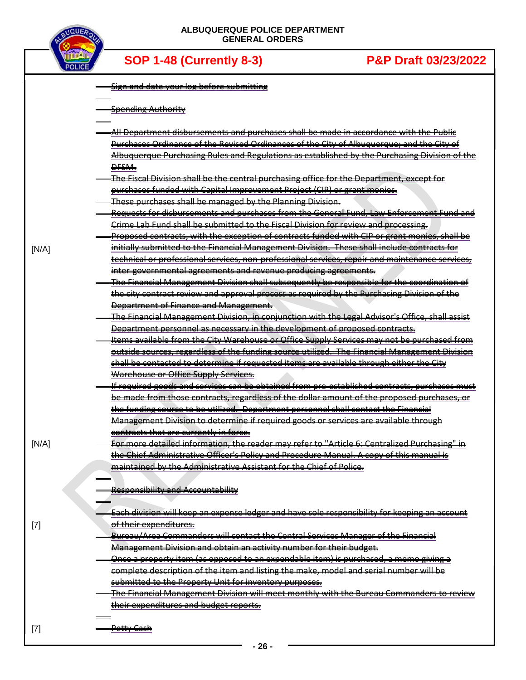

|       | Sign and date your log before submitting                                                               |
|-------|--------------------------------------------------------------------------------------------------------|
|       | <b>Spending Authority</b>                                                                              |
|       | All Department disbursements and purchases shall be made in accordance with the Public                 |
|       | Purchases Ordinance of the Revised Ordinances of the City of Albuquerque; and the City of              |
|       | Albuquerque Purchasing Rules and Regulations as established by the Purchasing Division of the          |
|       | <del>Desm.</del>                                                                                       |
|       | The Fiscal Division shall be the central purchasing office for the Department, except for              |
|       | purchases funded with Capital Improvement Project (CIP) or grant monies.                               |
|       | These purchases shall be managed by the Planning Division.                                             |
|       | Requests for disbursements and purchases from the General Fund, Law Enforcement Fund and               |
|       | Crime Lab Fund shall be submitted to the Fiscal Division for review and processing.                    |
|       | Proposed contracts, with the exception of contracts funded with CIP or grant monies, shall be          |
| [N/A] | initially submitted to the Financial Management Division. These shall include contracts for            |
|       | technical or professional services, non-professional services, repair and maintenance services,        |
|       | inter-governmental agreements and revenue producing agreements.                                        |
|       | <u>The Financial Management Division shall subsequently be responsible for the coordination of</u>     |
|       | the city contract review and approval process as required by the Purchasing Division of the            |
|       | Department of Finance and Management.                                                                  |
|       | <u>The Financial Management Division, in conjunction with the Legal Advisor's Office, shall assist</u> |
|       | Department personnel as necessary in the development of proposed contracts.                            |
|       | Items available from the City Warehouse or Office Supply Services may not be purchased from            |
|       | outside sources, regardless of the funding source utilized. The Financial Management Division          |
|       | shall be contacted to determine if requested items are available through either the City               |
|       | Warehouse or Office Supply Services.                                                                   |
|       | If required goods and services can be obtained from pre-established contracts, purchases must          |
|       | be made from those contracts, regardless of the dollar amount of the proposed purchases, or            |
|       | the funding source to be utilized. Department personnel shall contact the Financial                    |
|       | Management Division to determine if required goods or services are available through                   |
|       | contracts that are currently in force.                                                                 |
| [N/A] | For more detailed information, the reader may refer to "Article 6: Centralized Purchasing" in          |
|       | the Chief Administrative Officer's Policy and Procedure Manual. A copy of this manual is               |
|       | maintained by the Administrative Assistant for the Chief of Police.                                    |
|       |                                                                                                        |
|       | <b>Responsibility and Accountability</b>                                                               |
|       |                                                                                                        |
|       | Each division will keep an expense ledger and have sole responsibility for keeping an account          |
| $[7]$ | of their expenditures.                                                                                 |
|       | <b>Bureau/Area Commanders will contact the Central Services Manager of the Financial</b>               |
|       | Management Division and obtain an activity number for their budget.                                    |
|       | Once a property item (as opposed to an expendable item) is purchased, a memo giving a                  |
|       | complete description of the item and listing the make, model and serial number will be                 |
|       | submitted to the Property Unit for inventory purposes.                                                 |
|       | The Financial Management Division will meet monthly with the Bureau Commanders to review               |
|       | their expenditures and budget reports.                                                                 |
| $[7]$ | <del>Petty Cash</del>                                                                                  |
|       |                                                                                                        |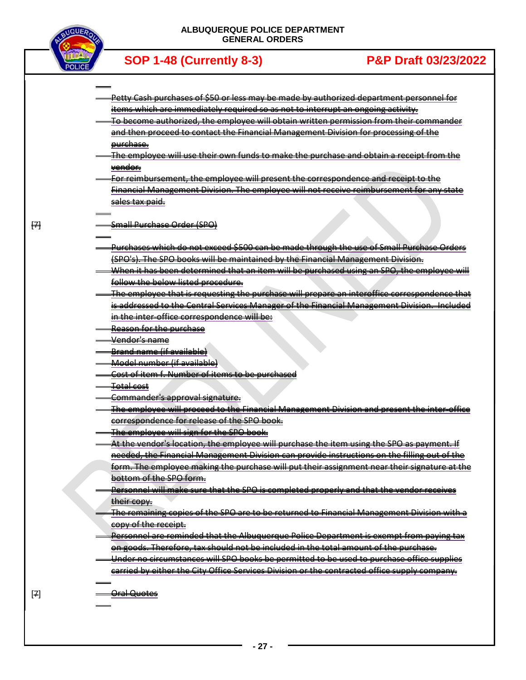

 $H$ 

[7]

**SOP 1-48 (Currently 8-3) P&P Draft 03/23/2022**

- Petty Cash purchases of \$50 or less may be made by authorized department personnel for items which are immediately required so as not to interrupt an ongoing activity.
- To become authorized, the employee will obtain written permission from their commander and then proceed to contact the Financial Management Division for processing of the purchase.
- The employee will use their own funds to make the purchase and obtain a receipt from the vendor.
- For reimbursement, the employee will present the correspondence and receipt to the Financial Management Division. The employee will not receive reimbursement for any state sales tax paid.

### Small Purchase Order (SPO)

- Purchases which do not exceed \$500 can be made through the use of Small Purchase Orders (SPO's). The SPO books will be maintained by the Financial Management Division.
- When it has been determined that an item will be purchased using an SPO, the employee will follow the below listed procedure.
- The employee that is requesting the purchase will prepare an interoffice correspondence that is addressed to the Central Services Manager of the Financial Management Division. Included in the inter-office correspondence will be:
- Reason for the purchase
- Vendor's name
- Brand name (if available)
- Model number (if available)
- Cost of item f. Number of items to be purchased
- Total cost
- Commander's approval signature.
- The employee will proceed to the Financial Management Division and present the inter-office correspondence for release of the SPO book.
- The employee will sign for the SPO book.
- At the vendor's location, the employee will purchase the item using the SPO as payment. If needed, the Financial Management Division can provide instructions on the filling out of the form. The employee making the purchase will put their assignment near their signature at the bottom of the SPO form.
- Personnel will make sure that the SPO is completed properly and that the vendor receives their copy.
- The remaining copies of the SPO are to be returned to Financial Management Division with a copy of the receipt.
- Personnel are reminded that the Albuquerque Police Department is exempt from paying tax on goods. Therefore, tax should not be included in the total amount of the purchase.
- Under no circumstances will SPO books be permitted to be used to purchase office supplies carried by either the City Office Services Division or the contracted office supply company.

Oral Quotes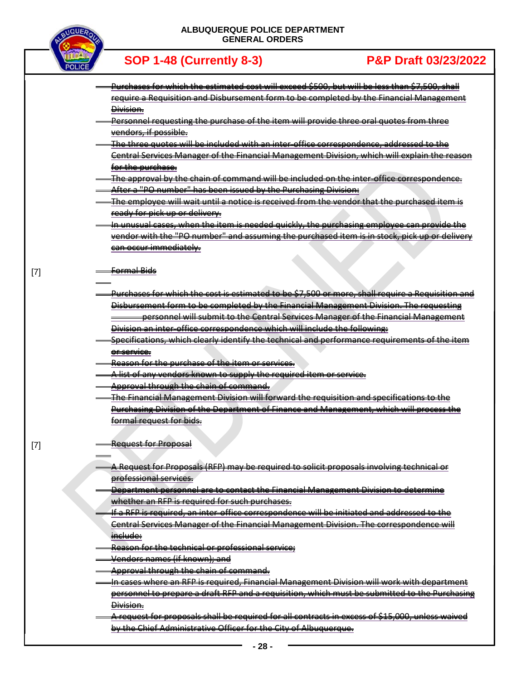

[7]

[7]

| <u>Purchases for which the estimated cost will exceed \$500, but will be less than \$7,500, shall </u> |
|--------------------------------------------------------------------------------------------------------|
| require a Requisition and Disbursement form to be completed by the Financial Management                |
| <del>Division.</del>                                                                                   |
| Personnel requesting the purchase of the item will provide three oral quotes from three                |
| vendors, if possible.                                                                                  |
| The three quotes will be included with an inter-office correspondence, addressed to the                |
| Central Services Manager of the Financial Management Division, which will explain the reason           |
| for the purchase.                                                                                      |
| The approval by the chain of command will be included on the inter-office correspondence.              |
| After a "PO number" has been issued by the Purchasing Division:                                        |
| The employee will wait until a notice is received from the vendor that the purchased item is           |
| <del>ready for pick up or delivery.</del>                                                              |
| In unusual cases, when the item is needed quickly, the purchasing employee can provide the             |
| vendor with the "PO number" and assuming the purchased item is in stock, pick up or delivery           |
| <del>can occur immediately.</del>                                                                      |
|                                                                                                        |
| <del>Formal Bids</del>                                                                                 |
|                                                                                                        |
| Purchases for which the cost is estimated to be \$7,500 or more, shall require a Requisition and       |
| Disbursement form to be completed by the Financial Management Division. The requesting                 |
| personnel will submit to the Central Services Manager of the Financial Management                      |
| Division an inter-office correspondence which will include the following:                              |
| Specifications, which clearly identify the technical and performance requirements of the item          |
| <del>or service.</del>                                                                                 |
| Reason for the purchase of the item or services.                                                       |
| A list of any vendors known to supply the required item or service.                                    |
| Approval through the chain of command.                                                                 |
| The Financial Management Division will forward the requisition and specifications to the               |
| Purchasing Division of the Department of Finance and Management, which will process the                |
| <del>formal request for bids.</del>                                                                    |
|                                                                                                        |
|                                                                                                        |
| <b>Request for Proposal</b>                                                                            |
|                                                                                                        |
| A Request for Proposals (RFP) may be required to solicit proposals involving technical or              |
| professional services.                                                                                 |
| Department personnel are to contact the Financial Management Division to determine                     |
| whether an RFP is required for such purchases.                                                         |
| If a RFP is required, an inter-office correspondence will be initiated and addressed to the            |
| Central Services Manager of the Financial Management Division. The correspondence will                 |
| include:                                                                                               |
| Reason for the technical or professional service;                                                      |
| Vendors names (if known); and                                                                          |
| Approval through the chain of command.                                                                 |
| In cases where an RFP is required, Financial Management Division will work with department             |
| personnel to prepare a draft RFP and a requisition, which must be submitted to the Purchasing          |
| Division.                                                                                              |
| A request for proposals shall be required for all contracts in excess of \$15,000, unless waived       |
| by the Chief Administrative Officer for the City of Albuquerque.                                       |
|                                                                                                        |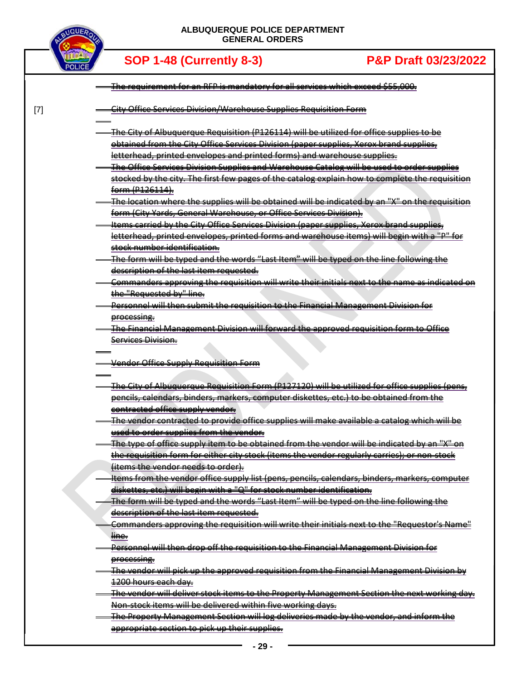

[7]

| The requirement for an RFP is mandatory for all services which exceed \$55,000.                                                          |
|------------------------------------------------------------------------------------------------------------------------------------------|
| <b>City Office Services Division/Warehouse Supplies Requisition Form</b>                                                                 |
| The City of Albuquerque Requisition (P126114) will be utilized for office supplies to be                                                 |
| obtained from the City Office Services Division (paper supplies, Xerox brand supplies,                                                   |
| letterhead, printed envelopes and printed forms) and warehouse supplies.                                                                 |
| The Office Services Division Supplies and Warehouse Catalog will be used to order supplies                                               |
| stocked by the city. The first few pages of the catalog explain how to complete the requisition                                          |
| <del>form (P126114).</del>                                                                                                               |
| The location where the supplies will be obtained will be indicated by an "X" on the requisition-                                         |
| form (City Yards, General Warehouse, or Office Services Division).                                                                       |
| Items carried by the City Office Services Division (paper supplies, Xerox brand supplies,                                                |
| letterhead, printed envelopes, printed forms and warehouse items) will begin with a "P" for                                              |
| <del>stock number identification.</del>                                                                                                  |
| The form will be typed and the words "Last Item" will be typed on the line following the                                                 |
| description of the last item requested.                                                                                                  |
| Commanders approving the requisition will write their initials next to the name as indicated on                                          |
| the "Requested by" line.                                                                                                                 |
| Personnel will then submit the requisition to the Financial Management Division for                                                      |
| processing.                                                                                                                              |
| The Financial Management Division will forward the approved requisition form to Office                                                   |
| Services Division.                                                                                                                       |
|                                                                                                                                          |
| Vendor Office Supply Requisition Form                                                                                                    |
| The City of Albuquerque Requisition Form (P127120) will be utilized for office supplies (pens,                                           |
| pencils, calendars, binders, markers, computer diskettes, etc.) to be obtained from the                                                  |
| contracted office supply vendor.                                                                                                         |
|                                                                                                                                          |
| The vendor contracted to provide office supplies will make available a catalog which will be                                             |
| used to order supplies from the vendor.                                                                                                  |
| The type of office supply item to be obtained from the vendor will be indicated by an "X" on                                             |
| the requisition form for either city stock (items the vendor regularly carries); or non-stock                                            |
| (items the vendor needs to order).                                                                                                       |
| Items from the vendor office supply list (pens, pencils, calendars, binders, markers, computer                                           |
| diskettes, etc.) will begin with a "Q" for stock number identification.                                                                  |
| The form will be typed and the words "Last Item" will be typed on the line following the                                                 |
| description of the last item requested.                                                                                                  |
| Commanders approving the requisition will write their initials next to the "Requestor's Name"                                            |
| line.                                                                                                                                    |
| Personnel will then drop off the requisition to the Financial Management Division for                                                    |
| processing.                                                                                                                              |
| The vendor will pick up the approved requisition from the Financial Management Division by                                               |
| 1200 hours each day.                                                                                                                     |
| The vendor will deliver stock items to the Property Management Section the next working day.                                             |
| Non-stock items will be delivered within five working days.                                                                              |
| The Property Management Section will log deliveries made by the vendor, and inform the<br>appropriate section to pick up their supplies. |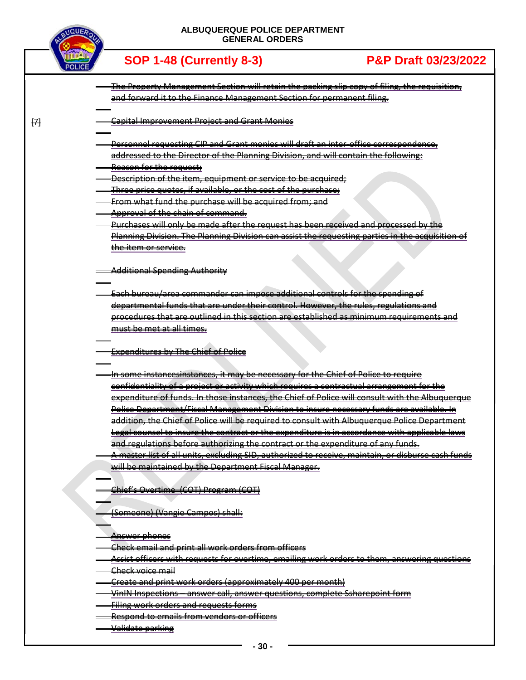

[7]

**SOP 1-48 (Currently 8-3) P&P Draft 03/23/2022**

- The Property Management Section will retain the packing slip copy of filing, the requisition, and forward it to the Finance Management Section for permanent filing.
- Capital Improvement Project and Grant Monies
- Personnel requesting CIP and Grant monies will draft an inter-office correspondence, addressed to the Director of the Planning Division, and will contain the following:
- Reason for the request;
- Description of the item, equipment or service to be acquired;
- Three price quotes, if available, or the cost of the purchase;
- From what fund the purchase will be acquired from; and
- Approval of the chain of command.
- Purchases will only be made after the request has been received and processed by the Planning Division. The Planning Division can assist the requesting parties in the acquisition of the item or service.

Additional Spending Authority

- Each bureau/area commander can impose additional controls for the spending of departmental funds that are under their control. However, the rules, regulations and procedures that are outlined in this section are established as minimum requirements and must be met at all times.
- Expenditures by The Chief of Police
- In some instancesinstances, it may be necessary for the Chief of Police to require confidentiality of a project or activity which requires a contractual arrangement for the expenditure of funds. In those instances, the Chief of Police will consult with the Albuquerque Police Department/Fiscal Management Division to insure necessary funds are available. In addition, the Chief of Police will be required to consult with Albuquerque Police Department Legal counsel to insure the contract or the expenditure is in accordance with applicable laws and regulations before authorizing the contract or the expenditure of any funds. A master list of all units, excluding SID, authorized to receive, maintain, or disburse cash funds
- will be maintained by the Department Fiscal Manager.

Chief's Overtime (COT) Program (COT)

(Someone) (Vangie Campos) shall:

- Answer phones
- Check email and print all work orders from officers
- Assist officers with requests for overtime, emailing work orders to them, answering questions
- Check voice mail
- Create and print work orders (approximately 400 per month)
- VinIN Inspections answer call, answer questions, complete Ssharepoint form
- Filing work orders and requests forms
- Respond to emails from vendors or officers
- Validate parking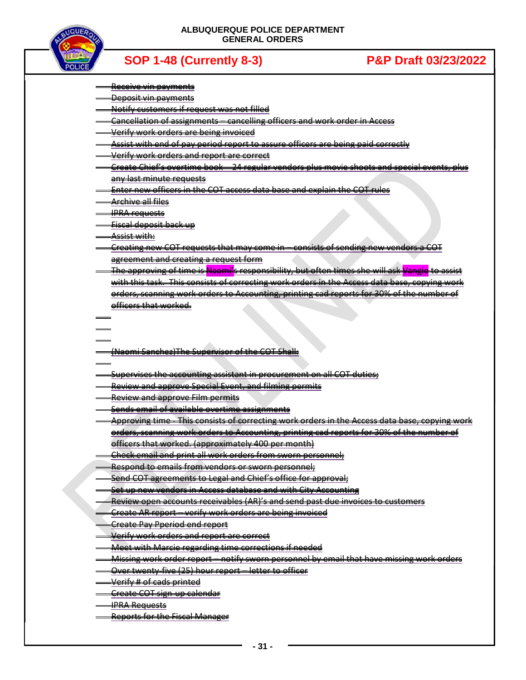

- Receive vin payments
- **Deposit vin payments**
- Notify customers if request was not filled
- Cancellation of assignments cancelling officers and work order in Access
- Verify work orders are being invoiced
- Assist with end of pay period report to assure officers are being paid correctly
- Verify work orders and report are correct
- Create Chief's overtime book 24 regular vendors plus movie shoots and special events, plus any last minute requests
- Enter new officers in the COT access data base and explain the COT rules
- Archive all files
- IPRA requests
- Fiscal deposit back up
- Assist with:
- Creating new COT requests that may come in consists of sending new vendors a COT agreement and creating a request form
- The approving of time is Naomi's responsibility, but often times she will ask Vangie to assist with this task. This consists of correcting work orders in the Access data base, copying work orders, scanning work orders to Accounting, printing cad reports for 30% of the number of officers that worked.
- - (Naomi Sanchez)The Supervisor of the COT Shall:
- Supervises the accounting assistant in procurement on all COT duties;
- Review and approve Special Event, and filming permits
- Review and approve Film permits
- Sends email of available overtime assignments
- Approving time This consists of correcting work orders in the Access data base, copying work orders, scanning work orders to Accounting, printing cad reports for 30% of the number of officers that worked. (approximately 400 per month)
- Check email and print all work orders from sworn personnel;
- Respond to emails from vendors or sworn personnel;
- Send COT agreements to Legal and Chief's office for approval;
- Set up new vendors in Access database and with City Accounting
- Review open accounts receivables (AR)'s and send past due invoices to customers
- Create AR report verify work orders are being invoiced
- Create Pay Pperiod end report
- Verify work orders and report are correct
- Meet with Marcie regarding time corrections if needed
- Missing work order report notify sworn personnel by email that have missing work orders
- Over twenty-five (25) hour report letter to officer
- Verify # of cads printed
- Create COT sign-up calendar
- IPRA Requests
- Reports for the Fiscal Manager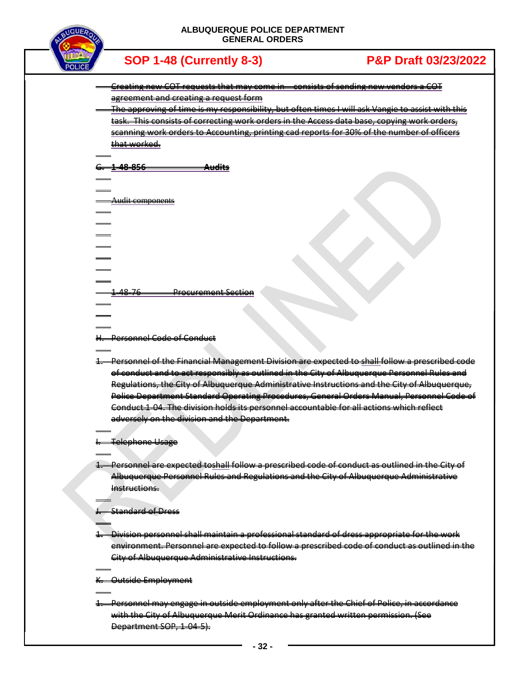

| <b>SOP 1-48 (Currently 8-3)</b>                                                                   | <b>P&amp;P Draft 03/23/2022</b>                                                                           |
|---------------------------------------------------------------------------------------------------|-----------------------------------------------------------------------------------------------------------|
| Creating new COT requests that may come in consists of sending new vendors a COT                  |                                                                                                           |
| agreement and creating a request form                                                             |                                                                                                           |
|                                                                                                   | <u>The approving of time is my responsibility, but often times I will ask Vangie to assist with this </u> |
| This consists of correcting work orders in the Access data base, copying work<br><del>task.</del> | <del>orders.</del>                                                                                        |
| scanning work orders to Accounting, printing                                                      | reports for 30% of the number of office<br><del>cad</del>                                                 |
| that worked.                                                                                      |                                                                                                           |
|                                                                                                   |                                                                                                           |
| <u>48.856</u>                                                                                     |                                                                                                           |
|                                                                                                   |                                                                                                           |
|                                                                                                   |                                                                                                           |
| Audit components                                                                                  |                                                                                                           |
|                                                                                                   |                                                                                                           |
|                                                                                                   |                                                                                                           |
|                                                                                                   |                                                                                                           |
|                                                                                                   |                                                                                                           |
|                                                                                                   |                                                                                                           |
|                                                                                                   |                                                                                                           |
|                                                                                                   |                                                                                                           |
| 48-<br><del>Procurement Section</del>                                                             |                                                                                                           |
|                                                                                                   |                                                                                                           |
|                                                                                                   |                                                                                                           |
|                                                                                                   |                                                                                                           |
| Personnel Code of Conduct                                                                         |                                                                                                           |

1. Personnel of the Financial Management Division are expected to shall follow a prescribed code of conduct and to act responsibly as outlined in the City of Albuquerque Personnel Rules and Regulations, the City of Albuquerque Administrative Instructions and the City of Albuquerque, Police Department Standard Operating Procedures, General Orders Manual, Personnel Code of Conduct 1-04. The division holds its personnel accountable for all actions which reflect adversely on the division and the Department.

I. Telephone Usage

1. Personnel are expected toshall follow a prescribed code of conduct as outlined in the City of Albuquerque Personnel Rules and Regulations and the City of Albuquerque Administrative Instructions.

J. Standard of Dress

1. Division personnel shall maintain a professional standard of dress appropriate for the work environment. Personnel are expected to follow a prescribed code of conduct as outlined in the City of Albuquerque Administrative Instructions.

K. Outside Employment

1. Personnel may engage in outside employment only after the Chief of Police, in accordance with the City of Albuquerque Merit Ordinance has granted written permission. (See Department SOP, 1-04-5).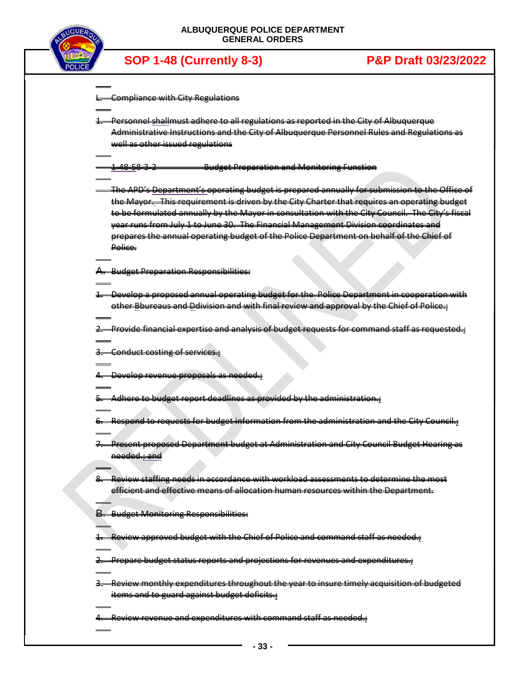

| <b>Compliance with City Regulations</b>                                                         |
|-------------------------------------------------------------------------------------------------|
|                                                                                                 |
| Personnel shallmust adhere to all regulations as reported in the City of Albuquerque            |
| Administrative Instructions and the City of Albuquerque Personnel Rules and Regulations as      |
| well as other issued regulations                                                                |
| <b>Budget Preparation and Monitoring Function</b><br>1-48-58-3-2                                |
| The APD's Department's operating budget is prepared annually for submission to the Office of    |
| the Mayor. This requirement is driven by the City Charter that requires an operating budget     |
| to be formulated annually by the Mayor in consultation with the City Council. The City's fiscal |
| year runs from July 1 to June 30. The Financial Management Division coordinates and             |
| prepares the annual operating budget of the Police Department on behalf of the Chief of         |
| Police.                                                                                         |
|                                                                                                 |
| A. Budget Preparation Responsibilities:                                                         |
|                                                                                                 |
| -Develop a proposed annual operating budget for the Police Department in cooperation with       |
| other Bbureaus and Ddivision and with final review and approval by the Chief of Police.         |
| -Provide financial expertise and analysis of budget requests for command staff as requested.    |
| 3. Conduct costing of services.                                                                 |
|                                                                                                 |
| 4. Develop revenue proposals as needed.                                                         |
| Adhere to budget report deadlines as provided by the administration.;                           |
| 6. Respond to requests for budget information from the administration and the City Council.;    |
|                                                                                                 |
| Present proposed Department budget at Administration and City Council Budget Hearing as         |
|                                                                                                 |
| needed.; and                                                                                    |
|                                                                                                 |
| Review staffing needs in accordance with workload assessments to determine the most             |
| efficient and effective means of allocation human resources within the Department.              |
| <b>B.</b> Budget Monitoring Responsibilities:                                                   |
|                                                                                                 |
| Review approved budget with the Chief of Police and command staff as needed.;                   |
| 2. Prepare budget status reports and projections for revenues and expenditures.;                |
|                                                                                                 |
| -Review monthly expenditures throughout the year to insure timely acquisition of budgeted       |
| items and to guard against budget deficits.                                                     |
| 4. Review revenue and expenditures with command staff as needed.;                               |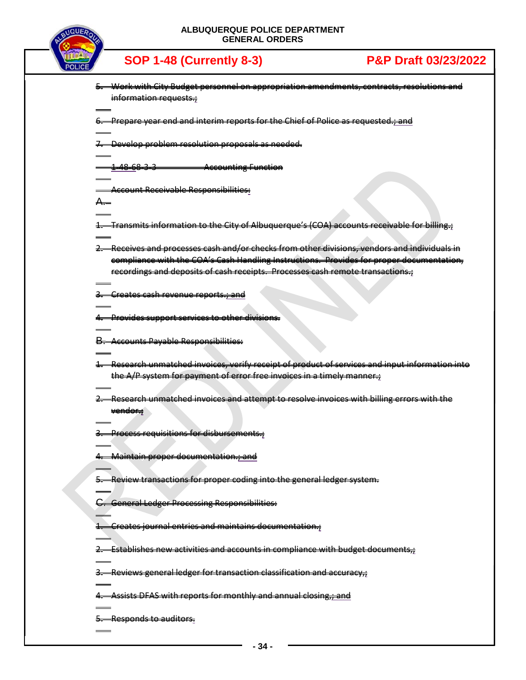

| 5. Work with City Budget personnel on appropriation amendments, contracts, resolutions and            |
|-------------------------------------------------------------------------------------------------------|
| information requests.                                                                                 |
|                                                                                                       |
|                                                                                                       |
| 6. Prepare year end and interim reports for the Chief of Police as requested.; and                    |
|                                                                                                       |
| 7. Develop problem resolution proposals as needed.                                                    |
|                                                                                                       |
| <del>1486833</del>                                                                                    |
| <b>Accounting Function</b>                                                                            |
|                                                                                                       |
| <b>Account Receivable Responsibilities:</b>                                                           |
| А.                                                                                                    |
|                                                                                                       |
|                                                                                                       |
| <del>Transmits information to the City of Albuquerque's (COA) accounts receivable for billing.;</del> |
|                                                                                                       |
| 2. Receives and processes cash and/or checks from other divisions, vendors and individuals in         |
| compliance with the COA's Cash Handling Instructions. Provides for proper documentation,              |
| recordings and deposits of cash receipts. Processes cash remote transactions.                         |
|                                                                                                       |
|                                                                                                       |
| -Creates cash revenue reports.; and                                                                   |
|                                                                                                       |
| <b>Provides support services to other divisions.</b>                                                  |
|                                                                                                       |
|                                                                                                       |
| <b>B.</b> Accounts Payable Responsibilities:                                                          |
|                                                                                                       |
| 4. Research unmatched invoices, verify receipt of product of services and input information into      |
| the A/P system for payment of error free invoices in a timely manner.                                 |
|                                                                                                       |
|                                                                                                       |
| Research unmatched invoices and attempt to resolve invoices with billing errors with the              |
| <del>vendor.:</del>                                                                                   |
|                                                                                                       |
| 3. Process requisitions for disbursements.;                                                           |
|                                                                                                       |
|                                                                                                       |
| 4. Maintain proper documentation.; and                                                                |
|                                                                                                       |
| 5. Review transactions for proper coding into the general ledger system.                              |
|                                                                                                       |
|                                                                                                       |
| G. General Ledger Processing Responsibilities:                                                        |
|                                                                                                       |
| 1. Creates journal entries and maintains documentation.;                                              |
|                                                                                                       |
|                                                                                                       |
| 2. Establishes new activities and accounts in compliance with budget documents,                       |
|                                                                                                       |
| 3. Reviews general ledger for transaction classification and accuracy,                                |
|                                                                                                       |
| 4. Assists DFAS with reports for monthly and annual closing,; and                                     |
|                                                                                                       |
|                                                                                                       |
| 5. Responds to auditors.                                                                              |
|                                                                                                       |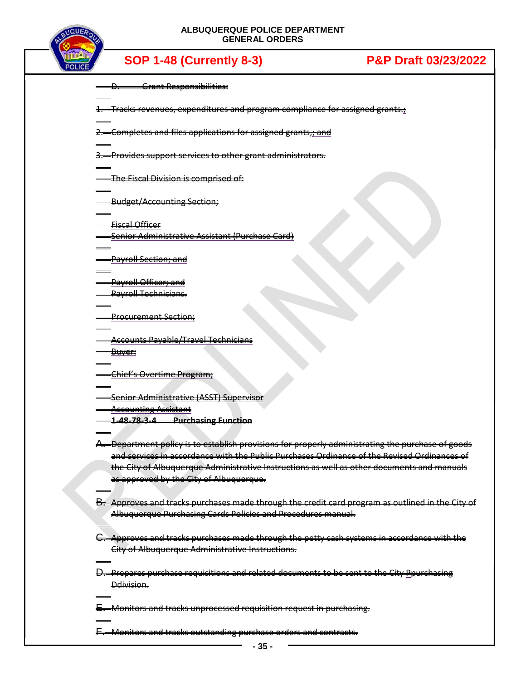

|               | Grant Responsibilities:                                                                               |
|---------------|-------------------------------------------------------------------------------------------------------|
|               | 1. Tracks revenues, expenditures and program compliance for assigned grants.;                         |
|               | Completes and files applications for assigned grants,; and                                            |
|               | 3. Provides support services to other grant administrators.                                           |
|               | The Fiscal Division is comprised of:                                                                  |
|               | Budget/Accounting Section;                                                                            |
|               | <b>Fiscal Officer</b>                                                                                 |
|               |                                                                                                       |
|               | Senior Administrative Assistant (Purchase Card)                                                       |
|               |                                                                                                       |
|               | Payroll Section; and                                                                                  |
|               |                                                                                                       |
|               | Payroll Officer; and                                                                                  |
|               | Payroll Technicians.                                                                                  |
|               |                                                                                                       |
|               | <b>Procurement Section;</b>                                                                           |
|               |                                                                                                       |
|               | <b>Accounts Payable/Travel Technicians</b>                                                            |
|               |                                                                                                       |
|               | <del>Buyer:</del>                                                                                     |
|               |                                                                                                       |
|               | Chief's Overtime Program;                                                                             |
|               |                                                                                                       |
|               | Senior Administrative (ASST) Supervisor                                                               |
|               | <b>Accounting Assistant</b>                                                                           |
|               | <u>1-48-78-3-4 Purchasing Function</u>                                                                |
|               |                                                                                                       |
| ₳.            | Department policy is to establish provisions for properly administrating the purchase of goods        |
|               | and services in accordance with the Public Purchases Ordinance of the Revised Ordinances of           |
|               | the City of Albuquerque Administrative Instructions as well as other documents and manuals            |
|               | as approved by the City of Albuquerque.                                                               |
|               |                                                                                                       |
|               |                                                                                                       |
|               | B. Approves and tracks purchases made through the credit card program as outlined in the City of      |
|               | Albuquerque Purchasing Cards Policies and Procedures manual.                                          |
|               |                                                                                                       |
| <del>G.</del> | Approves and tracks purchases made through the petty cash systems in accordance with the              |
|               | City of Albuquerque Administrative Instructions.                                                      |
|               |                                                                                                       |
|               | <del>D. Prepares purchase requisitions and related documents to be sent to the City Ppurchasing</del> |
|               | Ddivision.                                                                                            |
|               |                                                                                                       |
|               |                                                                                                       |
|               | -Monitors and tracks unprocessed requisition request in purchasing.                                   |
|               |                                                                                                       |
|               | Monitors and tracks outstanding purchase orders and contracts.                                        |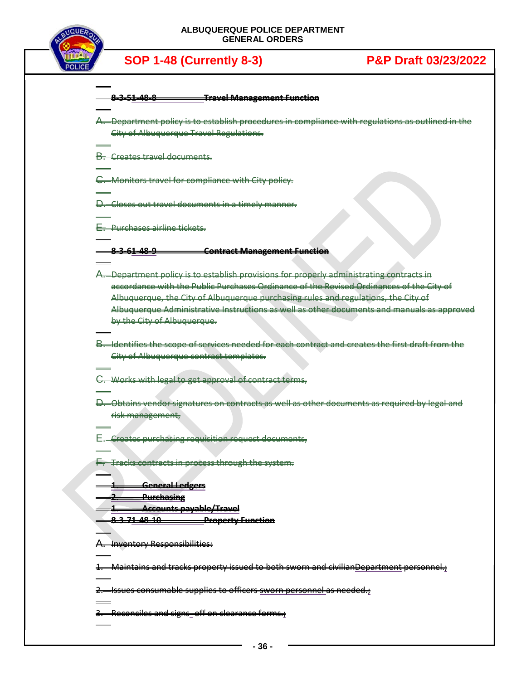

| 0.25100         | Travel Managament Eunstian |
|-----------------|----------------------------|
| _______________ |                            |
|                 |                            |

A. Department policy is to establish procedures in compliance with regulations as outlined in the City of Albuquerque Travel Regulations.

B. Creates travel documents.

C. Monitors travel for compliance with City policy.

D. Closes out travel documents in a timely manner.

E. Purchases airline tickets.

**8-3-61-48-9 Contract Management Function**

- A. Department policy is to establish provisions for properly administrating contracts in accordance with the Public Purchases Ordinance of the Revised Ordinances of the City of Albuquerque, the City of Albuquerque purchasing rules and regulations, the City of Albuquerque Administrative Instructions as well as other documents and manuals as approved by the City of Albuquerque.
- B. Identifies the scope of services needed for each contract and creates the first draft from the City of Albuquerque contract templates.

C. Works with legal to get approval of contract terms,

D. Obtains vendor signatures on contracts as well as other documents as required by legal and risk management,

E. Creates purchasing requisition request documents,

**F.** Tracks contracts in process through the system.

**1. General Ledgers**

**2. Purchasing**

**1. Accounts payable/Travel**

**8-3-71-48-10 Property Function**

A. Inventory Responsibilities:

1. Maintains and tracks property issued to both sworn and civilianDepartment personnel.;

 $2.$  Issues consumable supplies to officers sworn personnel as needed.;

3. Reconciles and signs- off on clearance forms.